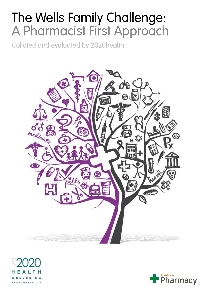# The Wells Family Challenge: A Pharmacist First Approach

Collated and evaluated by 2020health





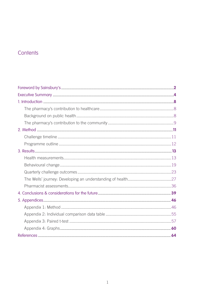# Contents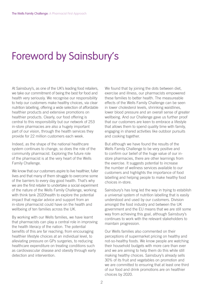# Foreword by Sainsbury's

At Sainsbury's, as one of the UK's leading food retailers, we take our commitment of being the best for food and health very seriously. We recognise our responsibility to help our customers make healthy choices, via clear nutrition labelling, offering a wide selection of affordable healthier products and extensive promotions on healthier products. Clearly, our food offering is central to this responsibility but our network of 253 in-store pharmacies are also a hugely important part of our vision, through the health services they provide for 22 million customers each week.

Indeed, as the shape of the national healthcare system continues to change, so does the role of the community pharmacist. Exploring the future role of the pharmacist is at the very heart of the Wells Family Challenge.

We know that our customers aspire to live healthier, fuller lives and that many of them struggle to overcome some of the barriers to every day good health. That's why we are the first retailer to undertake a social experiment of the nature of the Wells Family Challenge, working with think tank 2020health to explore the potential impact that regular advice and support from an in-store pharmacist could have on the health and wellbeing of ten families across the UK.

By working with our Wells families, we have learnt that pharmacists can play a central role in improving the health literacy of the nation. The potential benefits of this are far reaching; from encouraging healthier lifestyle choices at an individual level, to alleviating pressure on GPs surgeries, to reducing healthcare expenditure on treating conditions such as cardiovascular disease and obesity through early detection and intervention.

We found that by joining the dots between diet, exercise and illness, our pharmacists empowered these families to better health. The measureable effects of the Wells Family Challenge can be seen in lower cholesterol levels, shrinking waistlines, lower blood pressure and an overall sense of greater wellbeing. And our Challenge gave us further proof that our customers are keen to embrace a lifestyle that allows them to spend quality time with family, engaging in shared activities like outdoor pursuits and cooking together.

But although we have found the results of the Wells Family Challenge to be very positive and to confirm our belief of the huge value of our instore pharmacies, there are other learnings from the exercise. It suggests potential to increase the number of wellness services available to our customers and highlights the importance of food labelling and helping people to make healthy food choices in-store.

Sainsbury's has long led the way in trying to establish a universal system of nutrition labelling that is easily understood and used by our customers. Division amongst the food industry and between the UK government and the EU means that we are still some way from achieving this goal, although Sainsbury's continues to work with the relevant stakeholders to maintain progression.

Our Wells families also commented on their perceptions of supermarket pricing on healthy and not-so-healthy foods. We know people are watching their household budgets with more care than ever and we are aiming to help them do this while still making healthy choices. Sainsbury's already sells 30% of its fruit and vegetables on promotion and we are committed to ensuring that at least one third of our food and drink promotions are on healthier choices by 2020.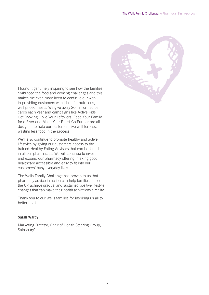I found it genuinely inspiring to see how the families embraced the food and cooking challenges and this makes me even more keen to continue our work in providing customers with ideas for nutritious, well priced meals. We give away 20 million recipe cards each year and campaigns like Active Kids Get Cooking, Love Your Leftovers, Feed Your Family for a Fiver and Make Your Roast Go Further are all designed to help our customers live well for less, wasting less food in the process.

We'll also continue to promote healthy and active lifestyles by giving our customers access to the trained Healthy Eating Advisors that can be found in all our pharmacies. We will continue to invest and expand our pharmacy offering, making good healthcare accessible and easy to fit into our customers' busy everyday lives.

The Wells Family Challenge has proven to us that pharmacy advice in action can help families across the UK achieve gradual and sustained positive lifestyle changes that can make their health aspirations a reality.

Thank you to our Wells families for inspiring us all to better health.

#### **Sarah Warby**

Marketing Director, Chair of Health Steering Group, Sainsbury's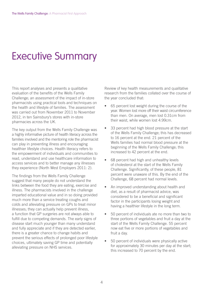# Executive Summary

This report analyses and presents a qualitative evaluation of the benefits of the Wells Family Challenge; an assessment of the impact of in-store pharmacists using practical tools and techniques on the health and lifestyle of families. The assessment was carried out from November 2011 to November 2012, in ten Sainsbury's stores with in-store pharmacies across the UK.

The key output from the Wells Family Challenge was a highly informative picture of health literacy across the families involved and the mentoring role the pharmacist can play in preventing illness and encouraging healthier lifestyle choices. Health literacy refers to the empowerment of individuals and communities to read, understand and use healthcare information to access services and to better manage any illnesses they experience (North West Employers 2011: 2).

The findings from the Wells Family Challenge suggest that many people do not understand the links between the food they are eating, exercise and illness. The pharmacists involved in the challenge imparted educational value and in so doing provided much more than a service treating coughs and colds and alleviating pressure on GPs to treat minor illnesses; they can actually help prevent illness, a function that GP surgeries are not always able to fulfill due to competing demands. The early signs of disease start much younger than many understand and fully appreciate and if they are detected earlier, there is a greater chance to change habits and prevent the serious effects of prolonged poor lifestyle choices, ultimately saving GP time and potentially alleviating pressure on NHS services.

Review of key health measurements and qualitative research from the families collated over the course of the year concluded that:

- 65 percent lost weight during the course of the year. Women lost more off their waist circumference than men. On average, men lost 0.31cm from their waist, while women lost 4.99cm.
- 33 percent had high blood pressure at the start of the Wells Family Challenge; this has decreased to 16 percent at the end. 21 percent of the Wells families had normal blood pressure at the beginning of the Wells Family Challenge; this increased to 42 percent at the end.
- 68 percent had high and unhealthy levels of cholesterol at the start of the Wells Family Challenge. Significantly, of these people, 81 percent were unaware of this. By the end of the Challenge, 68 percent had normal levels.
- An improved understanding about health and diet, as a result of pharmacist advice, was considered to be a beneficial and significant factor in the participants losing weight and having a healthier lifestyle in the long term.
- 50 percent of individuals ate no more than two to three portions of vegetables and fruit a day at the start of the Wells Family Challenge. 55 percent now eat five or more portions of vegetables and fruit a day.
- 50 percent of individuals were physically active for approximately 30 minutes per day at the start; this increased to 70 percent by the end.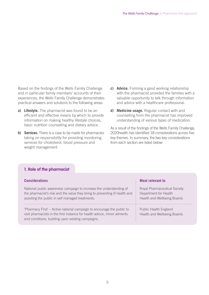Based on the findings of the Wells Family Challenge and in particular family members' accounts of their experiences, the Wells Family Challenge demonstrates practical answers and solutions to the following areas:

- **a) Lifestyle.** The pharmacist was found to be an efficient and effective means by which to provide information on making healthy lifestyle choices, basic nutrition counselling and dietary advice.
- **b) Services.** There is a case to be made for pharmacies taking on responsibility for providing monitoring services for cholesterol, blood pressure and weight management.
- **c) Advice.** Forming a good working relationship with the pharmacist provided the families with a valuable opportunity to talk through information and advice with a healthcare professional.
- **d) Medicine usage.** Regular contact with and counselling from the pharmacist has improved understanding of various types of medication.

As a result of the findings of the Wells Family Challenge, 2020health has identified 18 considerations across five key themes. In summary, the two key considerations from each section are listed below:

#### **1. Role of the pharmacist**

| <b>Considerations</b>                                                                                                                                                                                    | <b>Most relevant to</b>                                                                            |
|----------------------------------------------------------------------------------------------------------------------------------------------------------------------------------------------------------|----------------------------------------------------------------------------------------------------|
| National public awareness campaign to increase the understanding of<br>the pharmacist's role and the value they bring to preventing ill health and<br>assisting the public in self managed treatments.   | <b>Royal Pharmaceutical Society</b><br>Department for Health<br><b>Health and Wellbeing Boards</b> |
| 'Pharmacy First' – Active national campaign to encourage the public to<br>visit pharmacists in the first instance for health advice, minor ailments<br>and conditions, building upon existing campaigns. | Public Health England<br><b>Health and Wellbeing Boards</b>                                        |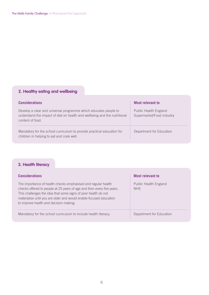# **2. Healthy eating and wellbeing**

| <b>Considerations</b>                                                                                                                                             | <b>Most relevant to</b>                            |
|-------------------------------------------------------------------------------------------------------------------------------------------------------------------|----------------------------------------------------|
| Develop a clear and universal programme which educates people to<br>understand the impact of diet on health and wellbeing and the nutritional<br>content of food. | Public Health England<br>Supermarket/Food industry |
| Mandatory for the school curriculum to provide practical education for<br>children in helping to eat and cook well.                                               | Department for Education                           |

# **3. Health literacy**

| <b>Considerations</b>                                                                                                                                                                                                                                                                                                     | <b>Most relevant to</b>             |
|---------------------------------------------------------------------------------------------------------------------------------------------------------------------------------------------------------------------------------------------------------------------------------------------------------------------------|-------------------------------------|
| The importance of health checks emphasised and regular health<br>checks offered to people at 25 years of age and then every five years.<br>This challenges the idea that some signs of poor health do not<br>materialise until you are older and would enable focused education<br>to improve health and decision making. | Public Health England<br><b>NHS</b> |
| Mandatory for the school curriculum to include health literacy.                                                                                                                                                                                                                                                           | Department for Education            |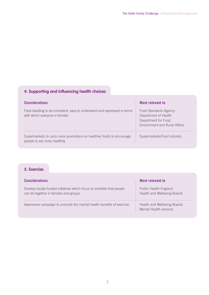# **4. Supporting and influencing health choices**

| <b>Considerations</b>                                                                                          | <b>Most relevant to</b>                                                                                       |
|----------------------------------------------------------------------------------------------------------------|---------------------------------------------------------------------------------------------------------------|
| Food labelling to be consistent, easy to understand and expressed in terms<br>with which everyone is familiar. | Food Standards Agency<br>Department of Health<br>Department for Food,<br><b>Environment and Rural Affairs</b> |
| Supermarkets to carry more promotions on healthier foods to encourage<br>people to eat more healthily.         | Supermarkets/Food industry                                                                                    |

# **5. Exercise**

| <b>Considerations</b>                                                                                               | Most relevant to                                             |
|---------------------------------------------------------------------------------------------------------------------|--------------------------------------------------------------|
| Develop locally funded initiatives which focus on activities that people<br>can do together in families and groups. | Public Health England<br>Health and Wellbeing Boards         |
| Awareness campaign to promote the mental health benefits of exercise.                                               | <b>Health and Wellbeing Boards</b><br>Mental Health services |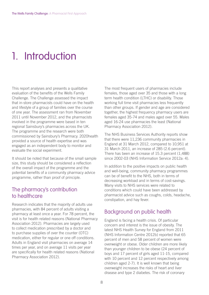# 1. Introduction

This report analyses and presents a qualitative evaluation of the benefits of the Wells Family Challenge. The Challenge assessed the impact that in-store pharmacists could have on the health and lifestyle of a group of families over the course of one year. The assessment ran from November 2011 until November 2012, and the pharmacists involved in the programme were based in ten regional Sainsbury's pharmacies across the UK. The programme and the research were both commissioned by Sainsbury's Pharmacy. 2020health provided a source of health expertise and was engaged as an independent body to monitor and evaluate the social experiment.

It should be noted that because of the small sample size, this study should be considered a reflection of the overall impact of the programme and the potential benefits of a community pharmacy advice programme, rather than proof of principle.

# The pharmacy's contribution to healthcare

Research indicates that the majority of adults use pharmacies, with 84 percent of adults visiting a pharmacy at least once a year. For 78 percent, the visit is for health related reasons (National Pharmacy Association 2012). Pharmacies are largely used to collect medication prescribed by a doctor and to purchase supplies of over the counter (OTC) medication, either for regular or one off conditions. Adults in England visit pharmacies on average 14 times per year, and on average 11 visits per year are specifically for health related reasons (National Pharmacy Association 2012).

The most frequent users of pharmacies include females, those aged over 35 and those with a long term health condition (LTHC) or disability. Those working full time visit pharmacies less frequently than other groups. If gender and age are considered together, the highest frequency pharmacy users are females aged 35-74 and males aged over 55. Males aged 16-24 use pharmacies the least (National Pharmacy Association 2012).

The NHS Business Services Authority reports show that there were 11,236 community pharmacies in England at 31 March 2012, compared to 10,951 at 31 March 2011, an increase of 285 (2.6 percent). There has been an increase of 15.3 percent (1,488) since 2002-03 (NHS Information Service 2012a: 4).

In addition to the positive impacts on public health and well-being, community pharmacy programmes can be of benefit to the NHS, both in terms of decreasing workload and in terms of cost-savings. Many visits to NHS services were related to conditions which could have been addressed by pharmacist advice such as coughs, colds, headache, constipation, and hay fever.

# Background on public health

England is facing a health crisis. Of particular concern and interest is the issue of obesity. The latest NHS Health Survey for England from 2011 (NHS Information Centre 2012b) reported that 65 percent of men and 58 percent of women were overweight or obese. Older children are more likely than younger children to be obese (24 percent of boys and 17 percent of girls aged 11-15, compared with 10 percent and 12 percent respectively among children aged 2-7). It is well known that being overweight increases the risks of heart and liver disease and type 2 diabetes. The risk of coronary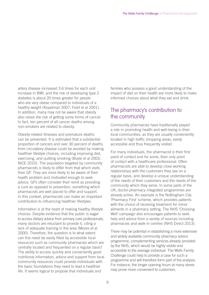artery disease increased 3.6 times for each unit increase in BMI, and the risk of developing type 2 diabetes is about 20 times greater for people who are very obese compared to individuals of a healthy weight (Kopelman 2007; Field et al 2001). In addition, many may not be aware that obesity also raises the risk of getting some forms of cancer. In fact, ten percent of all cancer deaths among non-smokers are related to obesity.

Obesity-related illnesses and premature deaths can be prevented. It is estimated that a substantial proportion of cancers and over 30 percent of deaths from circulatory disease could be avoided by making healthier lifestyle choices, including improving diet, exercising, and quitting smoking (Boyle et al 2003; NICE 2010). The population targeted by community pharmacists is likely to differ from that which visits their GP. They are more likely to be aware of their health problem and motivated enough to seek advice. GPs often consider their remit as providing a cure as opposed to prevention, something which pharmacists are well placed to offer and support. In this context, pharmacists can make an important contribution to influencing healthier lifestyles.

Information is at the heart of making healthy lifestyle choices. Despite evidence that the public is eager to access dietary advice from primary care professionals, many doctors are reluctant to provide it, citing a lack of adequate training in the area (Moore et al 2000). Therefore, the question is to what extent can this need be easily filled by accessible local resources such as community pharmacies which are centrally located and frequented on a regular basis? The ability to access quickly and conveniently good nutritional information, advice and support from local community resources could provide individuals with the basic foundations they need to lead a healthier life. It seems logical to propose that individuals and

families who possess a good understanding of the impact of diet on their health are more likely to make informed choices about what they eat and drink.

# The pharmacy's contribution to the community

Community pharmacies have traditionally played a role in promoting health and well-being in their local communities, as they are usually conveniently located in high traffic shopping areas, easily accessible and thus frequently visited.

For many individuals, the pharmacist is their first point of contact and for some, their only point of contact with a healthcare professional. Often pharmacists are able to develop close working relationships with the customers they see on a regular basis, and develop a unique understanding of the needs of their customers and the needs of the community which they serve. In some parts of the UK, doctor-pharmacy integrated programmes are already active. An example is the Nottingham City 'Pharmacy First' scheme, which provides patients with the choice of receiving treatment for minor ailments in a pharmacy setting. The NHS 'Choosing Well' campaign also encourages patients to seek help and advice from a variety of sources including pharmacies and walk-in centres (NHS Direct 2013).

There may be potential in establishing a more extensive and widely available community pharmacy advice programme, complementing services already provided by the NHS, which would be highly visible and accessible to the average individual. The Wells Family Challenge could help to provide a case for such a programme and will therefore form part of the analysis. For instance, the longer opening hours at many stores may prove more convenient to customers.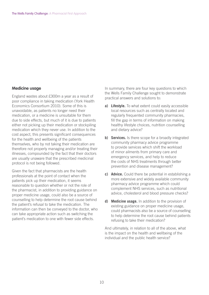#### **Medicine usage**

England wastes about £300m a year as a result of poor compliance in taking medication (York Health Economics Consortium 2010). Some of this is unavoidable, as patients no longer need their medication, or a medicine is unsuitable for them due to side effects, but much of it is due to patients either not picking up their medication or stockpiling medication which they never use. In addition to the cost aspect, this presents significant consequences for the health and wellbeing of the patients themselves, who by not taking their medication are therefore not properly managing and/or treating their illnesses, compounded by the fact that their doctors are usually unaware that the prescribed medicinal protocol is not being followed.

Given the fact that pharmacists are the health professionals at the point of contact when the patients pick up their medication, it seems reasonable to question whether or not the role of the pharmacist, in addition to providing guidance on proper medicine usage, could also be a source of counselling to help determine the root cause behind the patient's refusal to take the medication. The information can then be conveyed to the doctor, who can take appropriate action such as switching the patient's medication to one with fewer side effects.

In summary, there are four key questions to which the Wells Family Challenge sought to demonstrate practical answers and solutions to:

- **a) Lifestyle.** To what extent could easily accessible local resources such as centrally located and regularly frequented community pharmacies, fill the gap in terms of information on making healthy lifestyle choices, nutrition counselling and dietary advice?
- **b) Services.** Is there scope for a broadly integrated community pharmacy advice programme to provide services which shift the workload of minor ailments from primary care and emergency services, and help to reduce the costs of NHS treatments through better prevention and disease management?
- **c) Advice.** Could there be potential in establishing a more extensive and widely available community pharmacy advice programme which could complement NHS services, such as nutritional advice, cholesterol and blood pressure checks?
- **d) Medicine usage.** In addition to the provision of existing guidance on proper medicine usage, could pharmacists also be a source of counselling to help determine the root cause behind patients refusing to take their medication?

And ultimately, in relation to all of the above, what is the impact on the health and wellbeing of the individual and the public health service?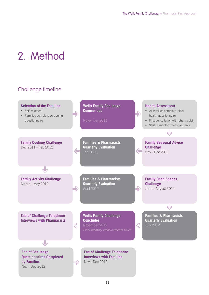# 2. Method

# Challenge timeline

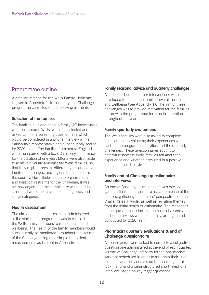## Programme outline

A detailed method for the Wells Family Challenge is given in Appendix 1. In summary, the Challenge programme consisted of the following elements:

#### **Selection of the families**

Ten families plus one backup family (27 individuals), with the surname Wells, were self-selected and asked to fill in a screening questionnaire which would be completed in a phone interview with a Sainsbury's representative and subsequently scored by 2020health. The families from across England were then paired with a local Sainsbury's pharmacist for the duration of one year. Efforts were also made to achieve diversity amongst the Wells families, so that they might represent different types of people, families, challenges, and regions from all across the country. Nevertheless, due to organisational and logistical restraints for the Challenge, it was acknowledged that the sample size would still be small and would not cover all ethnic groups and social categories.

#### **Health assessment**

The aim of the health assessment administered at the start of the programme was to establish the Wells family members' baseline health and wellbeing. The health of the family members would subsequently be monitored throughout the lifetime of the Challenge using nine simple but salient measurements as laid out in Appendix 1.

#### **Family seasonal advice and quarterly challenges**

A series of shorter, sharper interventions were developed to benefit the families' overall health and wellbeing (see Appendix 1). The aim of these challenges was to provide motivation for the families to run with the programme for its entire duration throughout the year.

#### **Family quarterly evaluations**

The Wells families were also asked to complete questionnaires evaluating their experiences with each of the programme activities and the quarterly challenges. These questionnaires sought to determine how the Wells families felt about the experience and whether it resulted in a positive change in their lifestyle.

#### **Family end of Challenge questionnaire and interviews**

An end of Challenge questionnaire was devised to gather a final set of qualitative data from each of the families, gathering the families' perspectives on the Challenge as a whole, as well as revisiting themes from the initial health questionnaire. The responses to the questionnaire formed the basis of a series of short interviews with each family, arranged and conducted by 2020health.

#### **Pharmacist quarterly evaluations & end of Challenge questionnaire**

All pharmacists were asked to complete a subjective questionnaire administered at the end of each quarter. An end of Challenge interview for the pharmacists was also scheduled in order to ascertain their final reactions and perspectives on the Challenge. This took the form of a semi-structured short telephone interview, based on key trigger questions.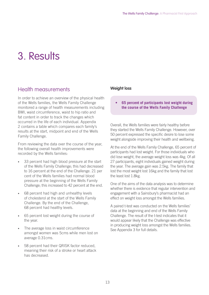# 3. Results

## Health measurements

In order to achieve an overview of the physical health of the Wells families, the Wells Family Challenge monitored a range of health measurements including BMI, waist circumference, waist to hip ratio and fat content in order to track the changes which occurred in the life of each individual. Appendix 2 contains a table which compares each family's results at the start, midpoint and end of the Wells Family Challenge.

From reviewing the data over the course of the year, the following overall health improvements were recorded by the Wells families:

- 33 percent had high blood pressure at the start of the Wells Family Challenge; this had decreased to 16 percent at the end of the Challenge. 21 per cent of the Wells families had normal blood pressure at the beginning of the Wells Family Challenge; this increased to 42 percent at the end.
- 68 percent had high and unhealthy levels of cholesterol at the start of the Wells Family Challenge. By the end of the Challenge, 68 percent had healthy levels.
- 65 percent lost weight during the course of the year.
- The average loss in waist circumference amongst women was 5cms while men lost on average 0.31cms.
- 58 percent had their QRISK factor reduced, meaning their risk of a stroke or heart attack has decreased.

### **Weight loss**

**65 percent of participants lost weight during the course of the Wells Family Challenge** 

Overall, the Wells families were fairly healthy before they started the Wells Family Challenge. However, over 50 percent expressed the specific desire to lose some weight alongside improving their health and wellbeing.

At the end of the Wells Family Challenge, 65 percent of participants had lost weight. For those individuals who did lose weight, the average weight loss was 4kg. Of all 27 participants, eight individuals gained weight during the year. The average gain was 2.5kg. The family that lost the most weight lost 16kg and the family that lost the least lost 1.8kg.

One of the aims of the data analysis was to determine whether there is evidence that regular intervention and engagement with a Sainsbury's pharmacist had an effect on weight loss amongst the Wells families.

A paired t-test was conducted on the Wells families' data at the beginning and end of the Wells Family Challenge. The result of the t-test indicates that it would appear likely that the Challenge was effective in producing weight loss amongst the Wells families. See Appendix 3 for full details.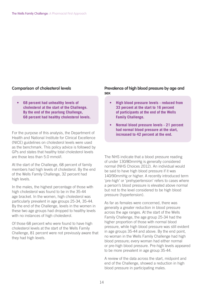#### **Comparison of cholesterol levels**

**68 percent had unhealthy levels of cholesterol at the start of the Challenge. By the end of the yearlong Challenge, 68 percent had healthy cholesterol levels.** 

For the purpose of this analysis, the Department of Health and National Institute for Clinical Excellence (NICE) guidelines on cholesterol levels were used as the benchmark. This policy advice is followed by GPs and states that healthy total cholesterol levels are those less than 5.0 mmol/l.

At the start of the Challenge, 68 percent of family members had high levels of cholesterol. By the end of the Wells Family Challenge, 32 percent had high levels.

In the males, the highest percentage of those with high cholesterol was found to be in the 35-44 age bracket. In the women, high cholesterol was particularly prevalent in age groups 25-34, 35-44. By the end of the Challenge, levels in the women in these two age groups had dropped to healthy levels with no instances of high cholesterol.

Of those 68 percent who were found to have high cholesterol levels at the start of the Wells Family Challenge, 81 percent were not previously aware that they had high levels.

#### **Prevalence of high blood pressure by age and sex**

- **•** High blood pressure levels reduced from **33 percent at the start to 16 percent of participants at the end of the Wells Family Challenge.**
- **Normal blood pressure levels 21 percent had normal blood pressure at the start,**  increased to 42 percent at the end.

The NHS indicate that a blood pressure reading of under 130/80mmHg is generally considered normal (NHS Choices 2012). An individual would be said to have high blood pressure if it was 140/90mmHg or higher. A recently introduced term 'pre-high' or 'prehypertension' refers to cases where a person's blood pressure is elevated above normal but not to the level considered to be high blood pressure (hypertension).

As far as females were concerned, there was generally a greater reduction in blood pressure across the age ranges. At the start of the Wells Family Challenge, the age group 25-34 had the higher proportion of those with normal blood pressure, while high blood pressure was still evident in age groups 35-44 and above. By the end point, no woman in the Wells Family Challenge had high blood pressure; every woman had either normal or pre-high blood pressure. Pre-high levels appeared to be more prevalent in age group 35-44.

A review of the data across the start, midpoint and end of the Challenge, showed a reduction in high blood pressure in participating males.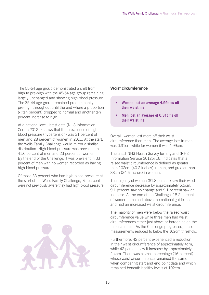The 55-64 age group demonstrated a shift from high to pre-high with the 45-54 age group remaining largely unchanged and showing high blood pressure. The 35-44 age group remained predominantly pre-high throughout until the end where a proportion (< ten percent) dropped to normal and another ten percent increase to high.

At a national level, latest data (NHS Information Centre 2012b) shows that the prevalence of high blood pressure (hypertension) was 31 percent of men and 28 percent of women in 2011. At the start, the Wells Family Challenge would mirror a similar distribution. High blood pressure was prevalent in 41.6 percent of men and 23 percent of women. By the end of the Challenge, it was prevalent in 33 percent of men with no women recorded as having high blood pressure.

Of those 33 percent who had high blood pressure at the start of the Wells Family Challenge, 75 percent were not previously aware they had high blood pressure.



#### **Waist circumference**

- Women lost an average 4.99cms off **their waistline**
- **Men lost an average of 0.31cms off their waistline**

Overall, women lost more off their waist circumference than men. The average loss in men was 0.31cm while for women it was 4.99cm.

The latest NHS Health Survey for England (NHS Information Service 2012b: 16) indicates that a raised waist circumference is defined as greater than 102cm (40.2 inches) in men, and greater than 88cm (34.6 inches) in women.

The majority of women (81.8 percent) saw their waist circumference decrease by approximately 5.5cm. 9.1 percent saw no change and 9.1 percent saw an increase. At the end of the Challenge, 18.2 percent of women remained above the national guidelines and had an increased waist circumference.

The majority of men were below the raised waist circumference value while three men had waist circumferences either just above or borderline on the national mean. As the Challenge progressed, these measurements reduced to below the 102cm threshold.

Furthermore, 42 percent experienced a reduction in their waist circumference of approximately 4cm, while 42 percent saw it increase by approximately 2.4cm. There was a small percentage (16 percent) whose waist circumference remained the same when comparing start and end point data and which remained beneath healthy levels of 102cm.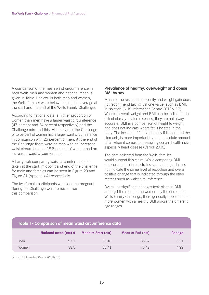A comparison of the mean waist circumference in both Wells men and women and national mean is given in Table 1 below. In both men and women, the Wells families were below the national average at the start and the end of the Wells Family Challenge.

According to national data, a higher proportion of women than men have a larger waist circumference (47 percent and 34 percent respectively) and the Challenge mirrored this. At the start of the Challenge 54.5 percent of women had a larger waist circumference in comparison with 25 percent of men. At the end of the Challenge there were no men with an increased waist circumference, 18.8 percent of women had an increased waist circumference.

A bar graph comparing waist circumference data taken at the start, midpoint and end of the challenge for male and females can be seen in Figure 20 and Figure 21 (Appendix 4) respectively.

The two female participants who became pregnant during the Challenge were removed from this comparison.

#### **Prevalence of healthy, overweight and obese BMI by sex**

Much of the research on obesity and weight gain does not recommend taking just one value, such as BMI, in isolation (NHS Information Centre 2012b: 17). Whereas overall weight and BMI can be indicators for risk of obesity-related diseases, they are not always accurate. BMI is a comparison of height to weight and does not indicate where fat is located in the body. The location of fat, particularly if it is around the stomach, is more important than the absolute amount of fat when it comes to measuring certain health risks, especially heart disease (Carroll 2006).

The data collected from the Wells' families would support this claim. While comparing BMI measurements demonstrates some change, it does not indicate the same level of reduction and overall positive change that is indicated through the other metrics such as waist circumference.

Overall no significant changes took place in BMI amongst the men. In the women, by the end of the Wells Family Challenge, there generally appears to be more women with a healthy BMI across the different age ranges.

| Table 1 - Comparison of mean waist circumference data |                      |                    |                  |               |
|-------------------------------------------------------|----------------------|--------------------|------------------|---------------|
|                                                       | National mean (cm) # | Mean at Start (cm) | Mean at End (cm) | <b>Change</b> |
| Men                                                   | 97.1                 | 8618               | 8587             | 0.31          |
| Women                                                 | 88.5                 | 80.41              | 7542             | 499           |

(# = NHS Information Centre 2012b: 16)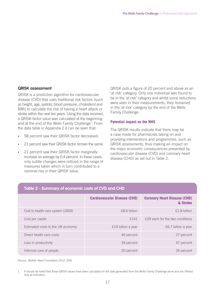#### **QRISK assessment**

QRISK is a prediction algorithm for cardiovascular disease (CVD) that uses traditional risk factors (such as height, age, systolic blood pressure, cholesterol and BMI) to calculate the risk of having a heart attack or stroke within the next ten years. Using the data received, a QRISK factor value was calculated at the beginning and at the end of the Wells Family Challenge<sup>1</sup>. From the data table in Appendix 2 it can be seen that:

- 58 percent saw their QRISK factor decreased.
- 21 percent saw their QRISK factor remain the same.
- 21 percent saw their QRISK factor marginally increase on average by 0.4 percent. In these cases, only subtle changes were noticed in the range of measures taken which in turn contributed to a nominal rise in their QRISK value.

QRISK puts a figure of 20 percent and above as an 'at risk' category. Only one individual was found to be in the 'at risk' category and whilst some reductions were seen in their measurements, they remained in the 'at risk' category by the end of the Wells Family Challenge.

#### **Potential impact on the NHS**

The QRISK results indicate that there may be a case made for pharmacists taking on and providing interventions and programmes, such as QRISK assessments, thus making an impact on the major economic consequences presented by cardiovascular disease (CVD) and coronary heart disease (CHD) as set out in Table 2.

| Table 2 - Johnnary of Economic costs of CVD and Crib |                                     |                                                 |
|------------------------------------------------------|-------------------------------------|-------------------------------------------------|
|                                                      | <b>Cardiovascular Disease (CVD)</b> | <b>Coronary Heart Disease (CHD)</b><br>& Stroke |
| Cost to health care system (2009)                    | £8.6 billion                        | £1.8 billion                                    |
| Cost per capita                                      | £141                                | £29 each for the two conditions                 |
| Estimated costs to the UK economy                    | £19 billion a year                  | £6.7 billion a year                             |
| Direct health care costs                             | 46 percent                          | 27 percent                                      |
| Loss in productivity                                 | 34 percent                          | 47 percent                                      |
| Informal care of people                              | 20 percent                          | 26 percent                                      |

### **Table 2 - Summary of economic costs of CVD and CHD**

Source: (British Heart Foundation 2012: 204)

<sup>1</sup> It should be noted that these QRISK values have been calculated on the data generated from the Wells Family Challenge alone and are offered only as indicators.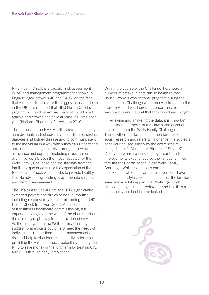NHS Health Check is a vascular risk assessment (VRA) and management programme for people in England aged between 40 and 74. Given the fact that vascular diseases are the biggest cause of death in the UK, it is reported that NHS Health Checks programme could on average prevent 1,600 heart attacks and strokes and save at least 650 lives each year (National Pharmacy Association 2010).

The purpose of the NHS Health Check is to identify an individual's risk of coronary heart disease, stroke, diabetes and kidney disease and to communicate it to the individual in a way which they can understand and to help manage that risk through follow up assistance and support (including reassessment every five years). Both the model adopted for the Wells Family Challenge and the findings from the families' experience mirror the expectation of the NHS Health Check which seeks to provide healthy lifestyle advice, signposting to appropriate services and weight management.

The Health and Social Care Act 2012 significantly extended powers and duties of local authorities, including responsibility for commissioning the NHS Health Check from April 2013. At this crucial time of transition in healthcare commissioning, it is important to highlight the work of the pharmacist and the role they might play in the provision of services. As the findings from the Wells Family Challenge suggest, pharmacists could help meet the needs of individuals, support them in their management of risk and help to shoulder responsibility in terms of providing the vascular check, potentially helping the NHS to save money in the long term by treating CVD and CHD through early intervention.

During the course of the Challenge there were a number of breaks in data due to health related issues. Women who become pregnant during the course of the Challenge were removed from both the t-test, BMI and waist circumference analysis as it was obvious and natural that they would gain weight.

In reviewing and analysing the data, it is important to consider the impact of the Hawthorne effect on the results from the Wells Family Challenge. The Hawthorne Effect is a common term used in social research and refers to "a change in a subject's behaviour caused simply by the awareness of being studied" (Macionis & Plummer 1997: 43). Clearly there have been some significant health improvements experienced by the various families through their participation in the Wells Family Challenge. While conclusions can be made as to the extent to which the various interventions have influenced lifestyle choices, the fact that the families were aware of taking part in a Challenge which studied changes in their behaviour and health is a point that should not be overlooked.

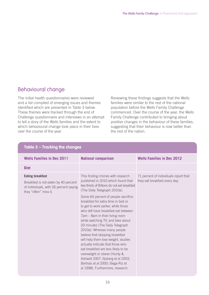# Behavioural change

The initial health questionnaires were reviewed and a list compiled of emerging issues and themes identified which are presented in Table 3 below. These themes were tracked through the end of Challenge questionnaire and interviews in an attempt to tell a story of the Wells families and the extent to which behavioural change took place in their lives over the course of the year.

Reviewing these findings suggests that the Wells families were similar to the rest of the national population before the Wells Family Challenge commenced. Over the course of the year, the Wells Family Challenge contributed to bringing about positive changes in the behaviour of these families, suggesting that their behaviour is now better than the rest of the nation.

| Table 3 - Tracking the changes                                                                                                     |                                                                                                                                                                                                                                                                                                                                                                                                                                                                                                                                                                                                                                                                                                                                                              |                                                                        |  |
|------------------------------------------------------------------------------------------------------------------------------------|--------------------------------------------------------------------------------------------------------------------------------------------------------------------------------------------------------------------------------------------------------------------------------------------------------------------------------------------------------------------------------------------------------------------------------------------------------------------------------------------------------------------------------------------------------------------------------------------------------------------------------------------------------------------------------------------------------------------------------------------------------------|------------------------------------------------------------------------|--|
| <b>Wells Families in Dec 2011</b>                                                                                                  | <b>National comparison</b>                                                                                                                                                                                                                                                                                                                                                                                                                                                                                                                                                                                                                                                                                                                                   | <b>Wells Families in Dec 2012</b>                                      |  |
| <b>Diet</b>                                                                                                                        |                                                                                                                                                                                                                                                                                                                                                                                                                                                                                                                                                                                                                                                                                                                                                              |                                                                        |  |
| <b>Eating breakfast</b><br>Breakfast is not eaten by 40 percent<br>of individuals, with 26 percent saying<br>they "often" miss it. | This finding chimes with research<br>published in 2010 which found that<br>two thirds of Britons do not eat breakfast<br>(The Daily Telegraph 2010a).<br>Some 64 percent of people sacrifice<br>breakfast for extra time in bed or<br>to get to work earlier, while those<br>who still have breakfast eat between<br>7am - 8am in their living room<br>while watching TV, and take about<br>20 minutes (The Daily Telegraph<br>2010a). Whereas many people<br>believe that skipping breakfast<br>will help them lose weight, studies<br>actually indicate that those who<br>eat breakfast are less likely to be<br>overweight or obese (Hunty &<br>Ashwell 2007; Sjoberg et al 2003;<br>Bertrais et al 2000; Slega-Riz et<br>al 1998). Furthermore, research | 71 percent of individuals report that<br>they eat breakfast every day. |  |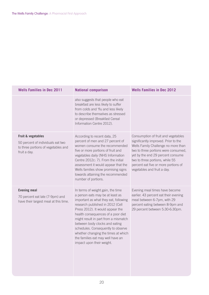| <b>Wells Families in Dec 2011</b>                                                                              | <b>National comparison</b>                                                                                                                                                                                                                                                                                                                                                                                                                            | <b>Wells Families in Dec 2012</b>                                                                                                                                                                                                                                                                         |
|----------------------------------------------------------------------------------------------------------------|-------------------------------------------------------------------------------------------------------------------------------------------------------------------------------------------------------------------------------------------------------------------------------------------------------------------------------------------------------------------------------------------------------------------------------------------------------|-----------------------------------------------------------------------------------------------------------------------------------------------------------------------------------------------------------------------------------------------------------------------------------------------------------|
|                                                                                                                | also suggests that people who eat<br>breakfast are less likely to suffer<br>from colds and 'flu and less likely<br>to describe themselves as stressed<br>or depressed (Breakfast Cereal<br>Information Centre 2012).                                                                                                                                                                                                                                  |                                                                                                                                                                                                                                                                                                           |
| Fruit & vegetables<br>50 percent of individuals eat two<br>to three portions of vegetables and<br>fruit a day. | According to recent data, 25<br>percent of men and 27 percent of<br>women consume the recommended<br>five or more portions of fruit and<br>vegetables daily (NHS Information<br>Centre 2012c: 7). From the initial<br>assessment it would appear that the<br>Wells families show promising signs<br>towards attaining the recommended<br>number of portions.                                                                                          | Consumption of fruit and vegetables<br>significantly improved. Prior to the<br>Wells Family Challenge no more than<br>two to three portions were consumed,<br>yet by the end 29 percent consume<br>two to three portions, while 55<br>percent eat five or more portions of<br>vegetables and fruit a day. |
| <b>Evening meal</b><br>70 percent eat late (7-9pm) and<br>have their largest meal at this time.                | In terms of weight gain, the time<br>a person eats may be at least as<br>important as what they eat, following<br>research published in 2012 (Cell<br>Press 2012). It would appear the<br>health consequences of a poor diet<br>might result in part from a mismatch<br>between body clocks and eating<br>schedules. Consequently to observe<br>whether changing the times at which<br>the families eat may well have an<br>impact upon their weight. | Evening meal times have become<br>earlier. 43 percent eat their evening<br>meal between 6-7pm, with 29<br>percent eating between 8-9pm and<br>29 percent between 5:30-6:30pm.                                                                                                                             |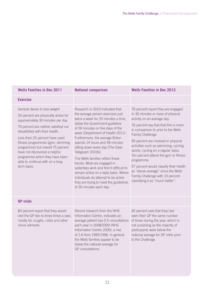| <b>Wells Families in Dec 2011</b>                                                                                                                                                                                                                                                                                                                                                                                      | <b>National comparison</b>                                                                                                                                                                                                                                                                                                                                                                                                                                                                                                                                                                                                | <b>Wells Families in Dec 2012</b>                                                                                                                                                                                                                                                                                                                                                                                                                                                                                                                 |
|------------------------------------------------------------------------------------------------------------------------------------------------------------------------------------------------------------------------------------------------------------------------------------------------------------------------------------------------------------------------------------------------------------------------|---------------------------------------------------------------------------------------------------------------------------------------------------------------------------------------------------------------------------------------------------------------------------------------------------------------------------------------------------------------------------------------------------------------------------------------------------------------------------------------------------------------------------------------------------------------------------------------------------------------------------|---------------------------------------------------------------------------------------------------------------------------------------------------------------------------------------------------------------------------------------------------------------------------------------------------------------------------------------------------------------------------------------------------------------------------------------------------------------------------------------------------------------------------------------------------|
| <b>Exercise</b>                                                                                                                                                                                                                                                                                                                                                                                                        |                                                                                                                                                                                                                                                                                                                                                                                                                                                                                                                                                                                                                           |                                                                                                                                                                                                                                                                                                                                                                                                                                                                                                                                                   |
| General desire to lose weight<br>50 percent are physically active for<br>approximately 30 minutes per day.<br>70 percent are neither satisfied nor<br>dissatisfied with their health.<br>Less than 25 percent have used<br>fitness programmes (gym, slimming<br>programme) but overall 75 percent<br>have not discovered a helpful<br>programme which they have been<br>able to continue with on a long<br>term basis. | Research in 2010 indicated that<br>the average person exercises just<br>twice a week for 25 minutes a time,<br>below the Government guideline<br>of 30 minutes on five days of the<br>week (Department of Health 2011).<br>Furthermore, the average Briton<br>spends 14 hours and 39 minutes<br>sitting down every day (The Daily<br>Telegraph 2010b).<br>The Wells families reflect these<br>trends. Most are engaged in<br>sedentary work and find it difficult to<br>remain active on a daily basis. Where<br>individuals do attempt to be active<br>they are trying to meet the guidelines<br>of 30 minutes each day. | 70 percent report they are engaged<br>in 30 minutes or more of physical<br>activity on an average day.<br>76 percent say that that this is more<br>in comparison to prior to the Wells<br>Family Challenge.<br>90 percent are involved in physical<br>activities such as swimming, cycling,<br>sports, cycling on a regular basis.<br>Ten percent attend the gym or fitness<br>programme.<br>57 percent would classify their health<br>as "above average" since the Wells<br>Family Challenge with 10 percent<br>classifying it as "much better". |
| <b>GP visits</b>                                                                                                                                                                                                                                                                                                                                                                                                       |                                                                                                                                                                                                                                                                                                                                                                                                                                                                                                                                                                                                                           |                                                                                                                                                                                                                                                                                                                                                                                                                                                                                                                                                   |
| 83 percent report that they would<br>visit the GP two to three times a year,<br>mostly for coughs, colds and other<br>minor ailments.                                                                                                                                                                                                                                                                                  | Recent research from the NHS<br>Information Centre, indicates an<br>average patient has 5.5 consultations<br>each year in 2008/2009 (NHS<br>Information Centre 2009), a rise<br>of 1.6 from 1995/1996. In general<br>the Wells families appear to be<br>below the national average for<br>GP consultations.                                                                                                                                                                                                                                                                                                               | 60 percent said that they had<br>seen their GP the same number<br>of times during the year, which is<br>not surprising as the majority of<br>participants were below the<br>national average for GP visits prior<br>to the Challenge.                                                                                                                                                                                                                                                                                                             |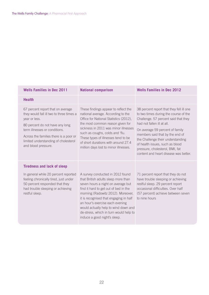| <b>Wells Families in Dec 2011</b>                                                                                                                                                                                                                                           | <b>National comparison</b>                                                                                                                                                                                                                                                                                                                                                                  | <b>Wells Families in Dec 2012</b>                                                                                                                                                                                                                                                                                                                                                 |
|-----------------------------------------------------------------------------------------------------------------------------------------------------------------------------------------------------------------------------------------------------------------------------|---------------------------------------------------------------------------------------------------------------------------------------------------------------------------------------------------------------------------------------------------------------------------------------------------------------------------------------------------------------------------------------------|-----------------------------------------------------------------------------------------------------------------------------------------------------------------------------------------------------------------------------------------------------------------------------------------------------------------------------------------------------------------------------------|
| <b>Health</b>                                                                                                                                                                                                                                                               |                                                                                                                                                                                                                                                                                                                                                                                             |                                                                                                                                                                                                                                                                                                                                                                                   |
| 67 percent report that on average<br>they would fall ill two to three times a<br>year or less.<br>80 percent do not have any long<br>term illnesses or conditions.<br>Across the families there is a poor or<br>limited understanding of cholesterol<br>and blood pressure. | These findings appear to reflect the<br>national average. According to the<br>Office for National Statistics (2012),<br>the most common reason given for<br>sickness in 2011 was minor illnesses<br>such as coughs, colds and 'flu.<br>These types of illnesses tend to be<br>of short durations with around 27.4<br>million days lost to minor illnesses.                                  | 38 percent report that they fell ill one<br>to two times during the course of the<br>Challenge. 57 percent said that they<br>had not fallen ill at all.<br>On average 59 percent of family<br>members said that by the end of<br>the Challenge their understanding<br>of health issues, such as blood<br>pressure, cholesterol, BMI, fat<br>content and heart disease was better. |
| <b>Tiredness and lack of sleep</b><br>In general while 20 percent reported<br>feeling chronically tired, just under<br>50 percent responded that they<br>had trouble sleeping or achieving<br>restful sleep.                                                                | A survey conducted in 2012 found<br>that British adults sleep more than<br>seven hours a night on average but<br>find it hard to get out of bed in the<br>morning (Radowitz 2012). Moreover,<br>it is recognised that engaging in half<br>an hour's exercise each evening<br>would actually help to wind down and<br>de-stress, which in turn would help to<br>induce a good night's sleep. | 71 percent report that they do not<br>have trouble sleeping or achieving<br>restful sleep. 29 percent report<br>occasional difficulties. Over half<br>(57 percent) achieve between seven<br>to nine hours                                                                                                                                                                         |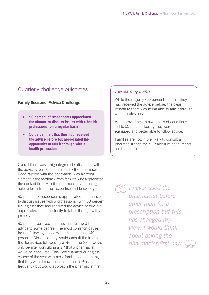# Quarterly challenge outcomes

#### **Family Seasonal Advice Challenge**

- **90 percent of respondents appreciated the chance to discuss issues with a health professional on a regular basis.**
- **50 percent felt that they had received the advice before but appreciated the opportunity to talk it through with a health professional.**

Overall there was a high degree of satisfaction with the advice given to the families by the pharmacists. Good rapport with the pharmacist was a strong element in the feedback from families who appreciated the contact time with the pharmacists and being able to learn from their expertise and knowledge.

90 percent of respondents appreciated the chance to discuss issues with a professional, with 50 percent feeling that they had received the advice before but appreciated the opportunity to talk it through with a professional.

90 percent believed that they had followed the advice to some degree. The most common cause for not following advice was time constraint (40 percent). Most said they would consult the internet first for advice, followed by a visit to the GP. It would only be after consulting a GP that a pharmacist would be consulted. This view changed during the course of the year with most families commenting that they would now not consult their GP as frequently but would approach the pharmacist first.

### Key learning points

While the majority (90 percent) felt that they had received the advice before, the clear benefit to them was being able to talk it through with a professional.

An improved health awareness of conditions led to 50 percent feeling they were better equipped and better able to follow advice.

Families are now more likely to consult a pharmacist than their GP about minor ailments, colds and 'flu.

**Thever** used the pharmacist before other than for a prescription but this has changed my view. I would think about asking the pharmacist first now.  $\mathbb{C}$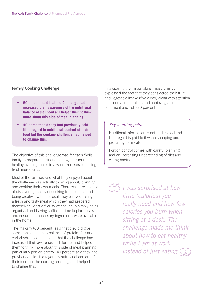### **Family Cooking Challenge**

- **60 percent said that the Challenge had increased their awareness of the nutritional balance of their food and helped them to think more about this side of meal planning.**
- **40 percent said they had previously paid little regard to nutritional content of their food but the cooking challenge had helped to change this.**

The objective of this challenge was for each Wells family to prepare, cook and eat together four healthy evening meals in a week from scratch using fresh ingredients.

Most of the families said what they enjoyed about the challenge was actually thinking about, planning and cooking their own meals. There was a real sense of discovering the joy of cooking from scratch and being creative, with the result they enjoyed eating a fresh and tasty meal which they had prepared themselves. Most difficulty was found in simply being organised and having sufficient time to plan meals and ensure the necessary ingredients were available in the home.

The majority (60 percent) said that they did give some consideration to balance of protein, fats and carbohydrate contents and that the challenge had increased their awareness still further and helped them to think more about this side of meal planning, particularly portion control. 40 percent said they had previously paid little regard to nutritional content of their food but the cooking challenge had helped to change this.

In preparing their meal plans, most families expressed the fact that they considered their fruit and vegetable intake (five a day) along with attention to calorie and fat intake and achieving a balance of both meat and fish (20 percent).

#### Key learning points

Nutritional information is not understood and little regard is paid to it when shopping and preparing for meals.

Portion control comes with careful planning and an increasing understanding of diet and eating habits.

 $\sqrt{2}$  I was surprised at how little [calories] you really need and how few calories you burn when sitting at a desk. The challenge made me think about how to eat healthy while I am at work. instead of just eating.  $\bigcirc$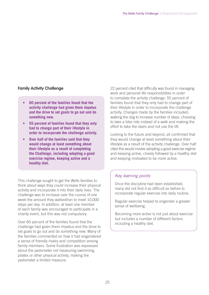### **Family Activity Challenge**

- **60 percent of the families found that the activity challenge had given them impetus and the drive to set goals to go out and do something new.**
- **55 percent of families found that they only had to change part of their lifestyle in order to incorporate the challenge activity.**
- **Over half of the families said that they would change at least something about their lifestyle as a result of completing the Challenge, including adopting a good exercise regime, keeping active and a healthy diet.**

This challenge sought to get the Wells families to think about ways they could increase their physical activity and incorporate it into their daily lives. The challenge was to increase over the course of one week the amount they walked/ran to meet 10,000 steps per day. In addition, at least one member of each family was encouraged to participate in a charity event, but this was not compulsory.

Over 60 percent of the families found that the challenge had given them impetus and the drive to set goals to go out and do something new. Many of the families commented on how it had engendered a sense of friendly rivalry and competition among family members. Some frustration was expressed about the pedometer not measuring swimming, pilates or other physical activity, making the pedometer a limited measure.

22 percent cited that difficulty was found in managing work and personal life responsibilities in order to complete the activity challenge. 55 percent of families found that they only had to change part of their lifestyle in order to incorporate the challenge activity. Changes made by the families included; walking the dog to increase number of steps, choosing to take a bike ride instead of a walk and making the effort to take the stairs and not use the lift.

Looking to the future and beyond, all confirmed that they would change at least something about their lifestyle as a result of the activity challenge. Over half cited this would involve adopting a good exercise regime and keeping active, closely followed by a healthy diet and keeping motivated to be more active.

### Key learning points

Once the discipline had been established, many did not find it as difficult as before to incorporate regular exercise into daily routine.

Regular exercise helped to engender a greater sense of wellbeing.

Becoming more active is not just about exercise but includes a number of different factors including a healthy diet.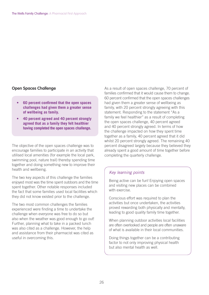#### **Open Spaces Challenge**

- **60 percent confirmed that the open spaces challenges had given them a greater sense of wellbeing as family.**
- **40percentagreedand40percentstrongly agreed that as a family they felt healthier having completed the open spaces challenge.**

The objective of the open spaces challenge was to encourage families to participate in an activity that utilised local amenities (for example the local park, swimming pool, nature trail) thereby spending time together and doing something new to improve their health and wellbeing.

The two key aspects of this challenge the families enjoyed most was the time spent outdoors and the time spent together. Other notable responses included the fact that some families used local facilities which they did not know existed prior to the challenge.

The two most common challenges the families experienced were finding a time to undertake the challenge when everyone was free to do so but also when the weather was good enough to go out! Further, planning what to take in a packed lunch was also cited as a challenge. However, the help and assistance from their pharmacist was cited as useful in overcoming this.

As a result of open spaces challenge, 70 percent of families confirmed that it would cause them to change. 60 percent confirmed that the open spaces challenges had given them a greater sense of wellbeing as family, with 20 percent strongly agreeing with this statement. Responding to the statement "As a family we feel healthier" as a result of completing the open spaces challenge, 40 percent agreed and 40 percent strongly agreed. In terms of how the challenge impacted on how they spent time together as a family, 40 percent agreed that it did whilst 20 percent strongly agreed. The remaining 40 percent disagreed largely because they believed they already spent a good amount of time together before completing the quarterly challenge.

#### Key learning points

Being active can be fun! Enjoying open spaces and visiting new places can be combined with exercise.

Conscious effort was required to plan the activities but once undertaken, the activities proved rewarding both physically and mentally, leading to good quality family time together.

When planning outdoor activities local facilities are often overlooked and people are often unaware of what is available in their local communities.

Doing things together can be a contributing factor to not only improving physical health but also mental health as well.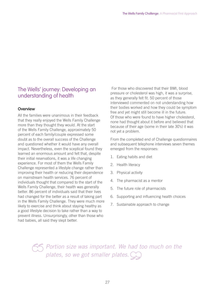# The Wells' journey: Developing an understanding of health

#### **Overview**

All the families were unanimous in their feedback that they really enjoyed the Wells Family Challenge more than they thought they would. At the start of the Wells Family Challenge, approximately 50 percent of each family/couple expressed some doubt as to the overall success of the Challenge and questioned whether it would have any overall impact. Nevertheless, even the sceptical found they learned an enormous amount and felt that, despite their initial reservations, it was a life changing experience. For most of them the Wells Family Challenge represented a lifestyle change rather than improving their health or reducing their dependence on mainstream health services. 76 percent of individuals thought that compared to the start of the Wells Family Challenge, their health was generally better. 86 percent of individuals said that their lives had changed for the better as a result of taking part in the Wells Family Challenge. They were much more likely to exercise and think about staying healthy as a good lifestyle decision to take rather than a way to prevent illness. Unsurprisingly, other than those who had babies, all said they slept better.

 For those who discovered that their BMI, blood pressure or cholesterol was high, it was a surprise, as they generally felt fit. 50 percent of those interviewed commented on not understanding how their bodies worked and how they could be symptom free and yet might still become ill in the future. Of those who were found to have higher cholesterol, none had thought about it before and believed that because of their age (some in their late 30's) it was not yet a problem.

From the completed end of Challenge questionnaires and subsequent telephone interviews seven themes emerged from the responses:

- 1. Eating habits and diet
- 2. Health literacy
- 3. Physical activity
- 4. The pharmacist as a mentor
- 5. The future role of pharmacists
- 6. Supporting and influencing health choices
- 7. Sustainable approach to change

Portion size was important. We had too much on the plates, so we got smaller plates.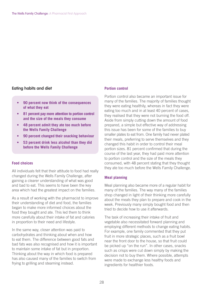#### **Eating habits and diet**

- **90 percent now think of the consequences of what they eat**
- 81 percent pay more attention to portion control **and the size of the meals they consume**
- **48 percent admit they ate too much before the Wells Family Challenge**
- **90 percent changed their snacking behaviour**
- **53 percent drink less alcohol than they did before the Wells Family Challenge**

#### **Food choices**

All individuals felt that their attitude to food had really changed during the Wells Family Challenge, after gaining a clearer understanding of what was good and bad to eat. This seems to have been the key area which had the greatest impact on the families.

As a result of working with the pharmacist to improve their understanding of diet and food, the families began to make more informed choices about the food they bought and ate. This led them to think more carefully about their intake of fat and calories in proportion to their need and lifestyle.

In the same way, closer attention was paid to carbohydrates and thinking about when and how to eat them. The difference between good fats and bad fats was also recognised and how it is important to maintain some intake of fat but in proportion. Thinking about the way in which food is prepared has also caused many of the families to switch from frying to grilling and steaming instead.

#### **Portion control**

Portion control also became an important issue for many of the families. The majority of families thought they were eating healthily, whereas in fact they were eating too much and in at least 40 percent of cases, they realised that they were not burning the food off. Aside from simply cutting down the amount of food prepared, a simple but effective way of addressing this issue has been for some of the families to buy smaller plates to eat from. One family had never plated their meals, preferring to serve themselves and they changed this habit in order to control their meal portion sizes. 81 percent confirmed that during the course of the last year, they had paid more attention to portion control and the size of the meals they consumed, with 48 percent stating that they thought they ate too much before the Wells Family Challenge.

#### **Meal planning**

Meal planning also became more of a regular habit for many of the families. The way many of the families shop changed in light of their thinking more carefully about the meals they plan to prepare and cook in the week. Previously many simply bought food and then tried to decide how to use it afterwards.

The task of increasing their intake of fruit and vegetable also necessitated forward planning and employing different methods to change eating habits. For example, one family commented that they put fruit in more strategic places, such as a fruit bowl near the front door to the house, so that fruit could be picked up "on the run". In other cases, snacks such as crisps were cut down simply by making the decision not to buy them. Where possible, attempts were made to exchange less healthy foods and ingredients for healthier foods.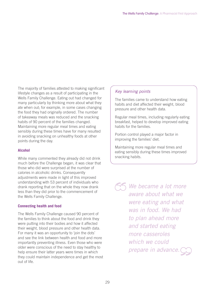The majority of families attested to making significant lifestyle changes as a result of participating in the Wells Family Challenge. Eating out had changed for many particularly by thinking more about what they ate when out; for example, in some cases changing the food they had originally ordered. The number of takeaway meals was reduced and the snacking habits of 90 percent of the families changed. Maintaining more regular meal times and eating sensibly during these times have for many resulted in avoiding snacking on unhealthy foods at other points during the day.

#### **Alcohol**

While many commented they already did not drink much before the Challenge began, it was clear that those who did were surprised at the number of calories in alcoholic drinks. Consequently adjustments were made in light of this improved understanding with 53 percent of individuals who drank reporting that on the whole they now drank less than they did prior to the commencement of the Wells Family Challenge.

#### **Connecting health and food**

The Wells Family Challenge caused 90 percent of the families to think about the food and drink they were putting into their bodies and how it affected their weight, blood pressure and other health data. For many it was an opportunity to 'join the dots' and see the link between health and food and more importantly preventing illness. Even those who were older were conscious of the need to stay healthy to help ensure their latter years were times in which they could maintain independence and get the most out of life.

### Key learning points

The families came to understand how eating habits and diet affected their weight, blood pressure and other health data.

Regular meal times, including regularly eating breakfast, helped to develop improved eating habits for the families.

Portion control played a major factor in improving the families' diet.

Maintaining more regular meal times and eating sensibly during these times improved snacking habits.

 $\sqrt{2}$  We became a lot more aware about what we were eating and what was in food. We had to plan ahead more and started eating more casseroles which we could prepare in advance.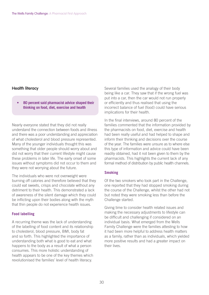#### **Health literacy**

**• 80 percent said pharmacist advice shaped their thinking on food, diet, exercise and health** 

Nearly everyone stated that they did not really understand the connection between foods and illness and there was a poor understanding and appreciation of what cholesterol and blood pressure represented. Many of the younger individuals thought this was something that older people should worry about and did not worry that their current lifestyle might cause these problems in later life. The early onset of some issues without symptoms did not occur to them and they were not worrying about the future.

The individuals who were not overweight were burning off calories and therefore believed that they could eat sweets, crisps and chocolate without any detriment to their health. This demonstrated a lack of awareness of the silent damage which they could be inflicting upon their bodies along with the myth that thin people do not experience health issues.

#### **Food labelling**

A recurring theme was the lack of understanding of the labelling of food content and its relationship to cholesterol, blood pressure, BMI, body fat and so forth. This highlighted the importance of understanding both what is good to eat and what happens to the body as a result of what a person consumes. This more holistic understanding of health appears to be one of the key themes which revolutionised the families' level of health literacy.

Several families used the analogy of their body being like a car. They saw that if the wrong fuel was put into a car, then the car would not run properly or efficiently and thus realised that using the incorrect balance of fuel (food) could have serious implications for their health.

In the final interviews, around 80 percent of the families commented that the information provided by the pharmacists on food, diet, exercise and health had been really useful and had helped to shape and inform their thinking and decisions over the course of the year. The families were unsure as to where else this type of information and advice could have been readily obtained, had it not been given to them by the pharmacists. This highlights the current lack of any formal method of distribution by public health channels.

#### **Smoking**

Of the two smokers who took part in the Challenge, one reported that they had stopped smoking during the course of the Challenge, whilst the other had not but noted they were smoking less than before the Challenge started.

Giving time to consider health related issues and making the necessary adjustments to lifestyle can be difficult and challenging if considered on an individual basis. What emerged from the Wells Family Challenge were the families attesting to how it had been more helpful to address health matters as a family, rather than as individuals, which yielded more positive results and had a greater impact on their lives.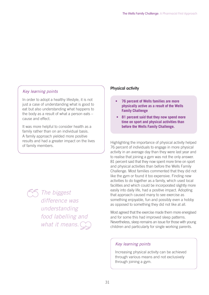### Key learning points

In order to adopt a healthy lifestyle, it is not just a case of understanding what is good to eat but also understanding what happens to the body as a result of what a person eats – cause and effect.

It was more helpful to consider health as a family rather than on an individual basis. A family approach yielded more positive results and had a greater impact on the lives of family members.

> The biggest difference was understanding food labelling and what it means.

#### **Physical activity**

- **76 percent of Wells families are more physically active as a result of the Wells Family Challenge**
- **81 percent said that they now spend more time on sport and physical activities than before the Wells Family Challenge.**

Highlighting the importance of physical activity helped 76 percent of individuals to engage in more physical activity in an average day than they were last year and to realise that joining a gym was not the only answer. 81 percent said that they now spent more time on sport and physical activities than before the Wells Family Challenge. Most families commented that they did not like the gym or found it too expensive. Finding new activities to do together as a family, which used local facilities and which could be incorporated slightly more easily into daily life, had a positive impact. Adopting that approach caused many to see exercise as something enjoyable, fun and possibly even a hobby as opposed to something they did not like at all.

Most agreed that the exercise made them more energised and for some this had improved sleep patterns. Nevertheless, sleep remains an issue for those with young children and particularly for single working parents.

#### Key learning points

Increasing physical activity can be achieved through various means and not exclusively through joining a gym.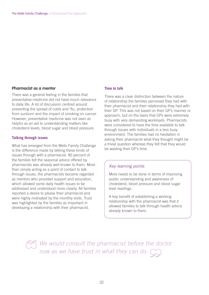#### **Pharmacist as a mentor**

There was a general feeling in the families that preventative medicine did not have much relevance to daily life. A lot of discussion centred around preventing the spread of colds and 'flu, protection from sunburn and the impact of smoking on cancer. However, preventative medicine was not seen as helpful as an aid to understanding matters like cholesterol levels, blood sugar and blood pressure.

#### **Talking through issues**

What has emerged from the Wells Family Challenge is the difference made by talking these kinds of issues through with a pharmacist. 90 percent of the families felt the seasonal advice offered by pharmacists was already well known to them. More than simply acting as a point of contact to talk through issues, the pharmacists became regarded as mentors who provided support and education, which allowed some daily health issues to be addressed and understood more clearly. All families reported a desire to please their pharmacist and were highly motivated by the monthly visits. Trust was highlighted by the families as important in developing a relationship with their pharmacist.

#### **Time to talk**

There was a clear distinction between the nature of relationship the families perceived they had with their pharmacist and their relationship they had with their GP. This was not based on their GP's manner or approach, but on the basis that GPs were extremely busy with very demanding workloads. Pharmacists were considered to have the time available to talk through issues with individuals in a less busy environment. The families had no hesitation in asking their pharmacist what they thought might be a trivial question whereas they felt that they would be wasting their GP's time.

#### Key learning points

More needs to be done in terms of improving public understanding and awareness of cholesterol, blood pressure and blood sugar level readings.

A key benefit of establishing a working relationship with the pharmacist was that it allowed families to talk through health advice already known to them.

We would consult the pharmacist before the doctor now as we have trust in what they can do.  $\bigcirc$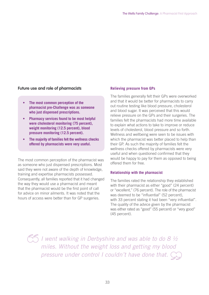#### **Future use and role of pharmacists**

- The most common perception of the **pharmacist pre-Challenge was as someone who just dispensed prescriptions.**
- **Pharmacy services found to be most helpful** were cholesterol monitoring (75 percent), weight monitoring (12.5 percent), blood pressure monitoring (12.5 percent).
- **The majority of families felt the wellness checks offered by pharmacists were very useful.**

The most common perception of the pharmacist was as someone who just dispensed prescriptions. Most said they were not aware of the depth of knowledge, training and expertise pharmacists possessed. Consequently, all families reported that it had changed the way they would use a pharmacist and meant that the pharmacist would be the first point of call for advice on minor ailments. It was noted that the hours of access were better than for GP surgeries.

#### **Relieving pressure from GPs**

The families generally felt their GPs were overworked and that it would be better for pharmacists to carry out routine testing like blood pressure, cholesterol and blood sugar. It was perceived that this would relieve pressure on the GPs and their surgeries. The families felt the pharmacists had more time available to explain what actions to take to improve or reduce levels of cholesterol, blood pressure and so forth. Wellness and wellbeing were seen to be issues with which the pharmacist was better placed to help than their GP. As such the majority of families felt the wellness checks offered by pharmacists were very useful and when questioned confirmed that they would be happy to pay for them as opposed to being offered them for free.

#### **Relationship with the pharmacist**

The families rated the relationship they established with their pharmacist as either "good" (24 percent) or "excellent," (76 percent). The role of the pharmacist was deemed to be "influential" (52 percent), with 33 percent stating it had been "very influential". The quality of the advice given by the pharmacist was either rated as "good" (55 percent) or "very good" (45 percent).

 $5/5$  I went walking in Derbyshire and was able to do 8  $\frac{1}{2}$ miles. Without the weight loss and getting my blood pressure under control I couldn't have done that.  $\bigcirc$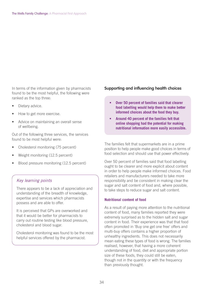In terms of the information given by pharmacists found to be the most helpful, the following were ranked as the top three:

- Dietary advice.
- How to get more exercise.
- Advice on maintaining an overall sense of wellbeing.

Out of the following three services, the services found to be most helpful were:

- Cholesterol monitoring (75 percent)
- Weight monitoring (12.5 percent)
- Blood pressure monitoring (12.5 percent)

#### Key learning points

There appears to be a lack of appreciation and understanding of the breadth of knowledge, expertise and services which pharmacists possess and are able to offer.

It is perceived that GPs are overworked and that it would be better for pharmacists to carry out routine testing like blood pressure, cholesterol and blood sugar.

Cholesterol monitoring was found to be the most helpful services offered by the pharmacist.

#### **Supporting and influencing health choices**

- **Over 50 percent of families said that clearer food labelling would help them to make better informed choices about the food they buy.**
- Around 40 percent of the families felt that **online shopping had the potential for making nutritional information more easily accessible.**

The families felt that supermarkets are in a prime position to help people make good choices in terms of food selection and should use that power effectively.

Over 50 percent of families said that food labelling ought to be clearer and more explicit about content in order to help people make informed choices. Food retailers and manufacturers needed to take more responsibility and be consistent in making clear the sugar and salt content of food and, where possible, to take steps to reduce sugar and salt content.

#### **Nutritional content of food**

As a result of paying more attention to the nutritional content of food, many families reported they were extremely surprised as to the hidden salt and sugar content in food. Their experience was that that food often promoted in 'Buy one get one free' offers and multi-buy offers contains a higher proportion of unhealthy ingredients. This does not necessarily mean eating these types of food is wrong. The families realised, however, that having a more coherent understanding of food, diet and appropriate portion size of these foods, they could still be eaten, though not in the quantity or with the frequency than previously thought.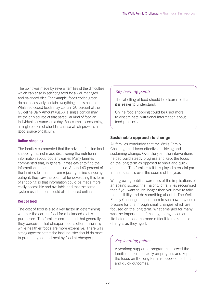The point was made by several families of the difficulties which can arise in selecting food for a well managed and balanced diet. For example, foods coded green do not necessarily contain everything that is needed. While red coded foods may contain 30 percent of the Guideline Daily Amount (GDA), a single portion may be the only source of that particular kind of food an individual consumes in a day. For example, consuming a single portion of cheddar cheese which provides a good source of calcium.

#### **Online shopping**

The families commented that the advent of online food shopping has not made discovering the nutritional information about food any easier. Many families commented that, in general, it was easier to find the information in-store than online. Around 40 percent of the families felt that far from rejecting online shopping outright, they saw the potential for developing this form of shopping so that information could be made more easily accessible and available and that the same system used in-store could also be used online.

#### **Cost of food**

The cost of food is also a key factor in determining whether the correct food for a balanced diet is purchased. The families commented that generally they perceived that cheaper food is often unhealthy while healthier foods are more expensive. There was strong agreement that the food industry should do more to promote good and healthy food at cheaper prices.

#### Key learning points

The labelling of food should be clearer so that it is easier to understand.

Online food shopping could be used more to disseminate nutritional information about food products.

#### **Sustainable approach to change**

All families concluded that the Wells Family Challenge had been effective in driving and sustaining change. Over the year, the interventions helped build steady progress and kept the focus on the long term as opposed to short and quick outcomes. The families felt this played a crucial part in their success over the course of the year.

With growing public awareness of the implications of an ageing society, the majority of families recognised that if you want to live longer then you have to take responsibility and do something about it. The Wells Family Challenge helped them to see how they could prepare for this through small changes which are focused on the long term. What emerged for many was the importance of making changes earlier in life before it became more difficult to make those changes as they aged.

#### Key learning points

A yearlong supported programme allowed the families to build steadily on progress and kept the focus on the long term as opposed to short and quick outcomes.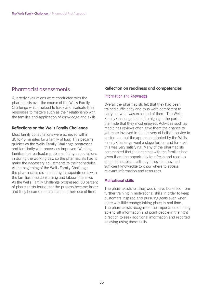## Pharmacist assessments

Quarterly evaluations were conducted with the pharmacists over the course of the Wells Family Challenge which helped to track and evaluate their responses to matters such as their relationship with the families and application of knowledge and skills.

#### **Reflections on the Wells Family Challenge**

Most family consultations were achieved within 30 to 45 minutes for a family of four. This became quicker as the Wells Family Challenge progressed and familiarity with processes improved. Working families had particular problems fitting consultations in during the working day, so the pharmacists had to make the necessary adjustments to their schedules. At the beginning of the Wells Family Challenge, the pharmacists did find fitting in appointments with the families time consuming and labour intensive. As the Wells Family Challenge progressed, 50 percent of pharmacists found that the process became faster and they became more efficient in their use of time.

#### **Reflection on readiness and competencies**

#### **Information and knowledge**

Overall the pharmacists felt that they had been trained sufficiently and thus were competent to carry out what was expected of them. The Wells Family Challenge helped to highlight the part of their role that they most enjoyed. Activities such as medicines reviews often gave them the chance to get more involved in the delivery of holistic service to customers, but the approach adopted by the Wells Family Challenge went a stage further and for most this was very satisfying. Many of the pharmacists commented that their contact with the families had given them the opportunity to refresh and read up on certain subjects although they felt they had sufficient knowledge to know where to access relevant information and resources.

#### **Motivational skills**

The pharmacists felt they would have benefited from further training in motivational skills in order to keep customers inspired and pursuing goals even when there was little change taking place in real time. The pharmacists recognised the importance of being able to sift information and point people in the right direction to seek additional information and reported enjoying using those skills.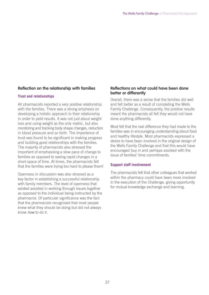#### **Reflection on the relationship with families**

#### **Trust and relationships**

All pharmacists reported a very positive relationship with the families. There was a strong emphasis on developing a holistic approach to their relationship in order to yield results. It was not just about weight loss and using weight as the only metric, but also monitoring and tracking body shape changes, reduction in blood pressure and so forth. The importance of trust was found to be significant in making progress and building good relationships with the families. The majority of pharmacists also stressed the important of emphasising a slow pace of change to families as opposed to seeing rapid changes in a short space of time. At times, the pharmacists felt that the families were trying too hard to please them!

Openness in discussion was also stressed as a key factor in establishing a successful relationship with family members. The level of openness that existed assisted in working through issues together as opposed to the individual being instructed by the pharmacist. Of particular significance was the fact that the pharmacists recognised that most people knew what they should be doing but did not always know how to do it.

#### **Reflections on what could have been done better or differently**

Overall, there was a sense that the families did well and felt better as a result of completing the Wells Family Challenge. Consequently, the positive results meant the pharmacists all felt they would not have done anything differently.

Most felt that the real difference they had made to the families was in encouraging understanding about food and healthy lifestyle. Most pharmacists expressed a desire to have been involved in the original design of the Wells Family Challenge and that this would have encouraged buy in and perhaps assisted with the issue of families' time commitments.

#### **Support staff involvement**

The pharmacists felt that other colleagues that worked within the pharmacy could have been more involved in the execution of the Challenge, giving opportunity for mutual knowledge exchange and learning.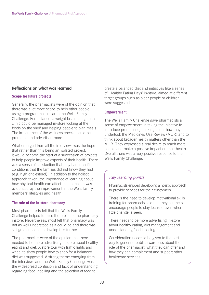#### **Reflections on what was learned**

#### **Scope for future projects**

Generally, the pharmacists were of the opinion that there was a lot more scope to help other people using a programme similar to the Wells Family Challenge. For instance, a weight loss management clinic could be managed in-store looking at the foods on the shelf and helping people to plan meals. The importance of the wellness checks could be promoted and advertised more.

What emerged from all the interviews was the hope that rather than this being an isolated project, it would become the start of a succession of projects to help people improve aspects of their health. There was a sense of satisfaction that they had identified conditions that the families did not know they had (e.g. high cholesterol). In addition to the holistic approach taken, the importance of learning about how physical health can affect mental health was evidenced by the improvement in the Wells family members' lifestyles and health.

#### **The role of the in-store pharmacy**

Most pharmacists felt that the Wells Family Challenge helped to raise the profile of the pharmacy instore. Nevertheless, most felt that pharmacy was not as well understood as it could be and there was still greater scope to develop this further.

The pharmacists were of the opinion that there needed to be more advertising in-store about healthy eating and diet. A store tour with traffic lights and wheel to show people how to shop for a balanced diet was suggested. A strong theme emerging from the interviews and the Wells Family Challenge was the widespread confusion and lack of understanding regarding food labelling and the selection of food to

create a balanced diet and initiatives like a series of 'Healthy Eating Days' in-store, aimed at different target groups such as older people or children, were suggested.

#### **Empowerment**

The Wells Family Challenge gave pharmacists a sense of empowerment in taking the initiative to introduce promotions, thinking about how they undertook the Medicines Use Review (MUR) and to think about broader health matters other than the MUR. They expressed a real desire to reach more people and make a positive impact on their health. Overall there was a very positive response to the Wells Family Challenge.

#### Key learning points

Pharmacists enjoyed developing a holistic approach to provide services for their customers.

There is the need to develop motivational skills training for pharmacists so that they can help encourage people to stay focused even when little change is seen.

There needs to be more advertising in-store about healthy eating, diet management and understanding food labelling.

Consideration needs to be given to the best way to generate public awareness about the role of the pharmacist, what they can offer and how they can complement and support other healthcare services.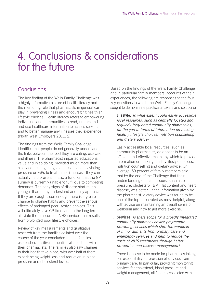# 4. Conclusions & considerations for the future

# **Conclusions**

The key finding of the Wells Family Challenge was a highly informative picture of health literacy and the mentoring role that pharmacists in general can play in preventing illness and encouraging healthier lifestyle choices. Health literacy refers to empowering individuals and communities to read, understand and use healthcare information to access services and to better manage any illnesses they experience (North West Employers 2011: 2).

The findings from the Wells Family Challenge identifies that people do not generally understand the links between the food they are eating, exercise and illness. The pharmacist imparted educational value and in so doing, provided much more than a service treating coughs and colds and alleviating pressure on GPs to treat minor illnesses - they can actually help prevent illness, a function that the GP surgery is currently unable to fulfil due to competing demands. The early signs of disease start much younger than many understand and fully appreciate. If they are caught soon enough there is a greater chance to change habits and prevent the serious effects of prolonged poor lifestyle choices. This will ultimately save GP time, and in the long term, alleviate the pressure on NHS services that results from prolonged poor lifestyle choices.

Review of key measurements and qualitative research from the families collated over the course of the year concluded that all families established positive influential relationships with their pharmacists. The families also saw changes to their health take place, with over half of them experiencing weight loss and reduction in blood pressure and cholesterol levels.

Based on the findings of the Wells Family Challenge and in particular family members' accounts of their experiences, the following are responses to the four key questions to which the Wells Family Challenge sought to demonstrate practical answers and solutions:

**i. Lifestyle.** To what extent could easily accessible local resources, such as centrally located and regularly frequented community pharmacies, fill the gap in terms of information on making healthy lifestyle choices, nutrition counselling and dietary advice?

 Easily accessible local resources, such as community pharmacies, do appear to be an efficient and effective means by which to provide information on making healthy lifestyle choices, nutrition counselling and dietary advice. On average, 59 percent of family members said that by the end of the Challenge that their understanding of health issues, such as blood pressure, cholesterol, BMI, fat content and heart disease, was better. Of the information given by the pharmacist, dietary advice was found to be one of the top three rated as most helpful, along with advice on maintaining an overall sense of wellbeing and how to get more exercise.

**ii. Services.** Is there scope for a broadly integrated community pharmacy advice programme providing services which shift the workload of minor ailments from primary care and emergency services and help to reduce the costs of NHS treatments through better prevention and disease management?

 There is a case to be made for pharmacies taking on responsibility for provision of services from primary care. In particular, providing monitoring services for cholesterol, blood pressure and weight management, all factors associated with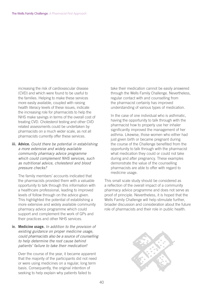increasing the risk of cardiovascular disease (CVD) and which were found to be useful to the families. Helping to make these services more easily available, coupled with raising health literacy levels of these issues, indicate the increasing role for pharmacists to help the NHS make savings in terms of the overall cost of treating CVD. Cholesterol testing and other CVD related assessments could be undertaken by pharmacists on a much wider scale, as not all pharmacists currently offer these services.

**iii. Advice.** Could there be potential in establishing a more extensive and widely available community pharmacy advice programme which could complement NHS services, such as nutritional advice, cholesterol and blood pressure checks?

 The family members' accounts indicated that the pharmacists provided them with a valuable opportunity to talk through this information with a healthcare professional, leading to improved levels of follow through on the advice given. This highlighted the potential of establishing a more extensive and widely available community pharmacy advice programme which could support and complement the work of GPs and their practices and other NHS services.

**iv. Medicine usage.** In addition to the provision of existing guidance on proper medicine usage, could pharmacists also be a source of counselling to help determine the root cause behind patients' failure to take their medication?

 Over the course of the year, it became apparent that the majority of the participants did not need or were using medicines on a regular, long term basis. Consequently, the original intention of seeking to help explain why patients failed to

take their medication cannot be easily answered through the Wells Family Challenge. Nevertheless, regular contact with and counselling from the pharmacist certainly has improved understanding of various types of medication.

 In the case of one individual who is asthmatic, having the opportunity to talk through with the pharmacist how to properly use her inhaler significantly improved the management of her asthma. Likewise, those women who either had just given birth or became pregnant during the course of the Challenge benefited from the opportunity to talk through with the pharmacist what medication they could or could not take during and after pregnancy. These examples demonstrate the value of the counselling pharmacists are able to offer with regard to medicine usage.

This small scale study should be considered as a reflection of the overall impact of a community pharmacy advice programme and does not serve as proof of principle. Nevertheless, it is hoped that the Wells Family Challenge will help stimulate further, broader discussion and consideration about the future role of pharmacists and their role in public health.

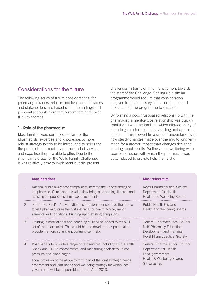# Considerations for the future

The following series of future considerations, for pharmacy providers, retailers and healthcare providers and stakeholders, are based upon the findings and personal accounts from family members and cover five key themes:

### **1 - Role of the pharmacist**

Most families were surprised to learn of the pharmacists' expertise and knowledge. A more robust strategy needs to be introduced to help raise the profile of pharmacists and the kind of services and expertise they are able to offer. Due to the small sample size for the Wells Family Challenge, it was relatively easy to implement but did present

challenges in terms of time management towards the start of the Challenge. Scaling up a similar programme would require that consideration be given to the necessary allocation of time and resources for the programme to succeed.

By forming a good trust-based relationship with the pharmacist, a mentor-type relationship was quickly established with the families, which allowed many of them to gain a holistic understanding and approach to health. This allowed for a greater understanding of how steady changes made over the mid to long term made for a greater impact than changes designed to bring about results. Wellness and wellbeing were seen to be issues with which the pharmacist was better placed to provide help than a GP.

|   | <b>Considerations</b>                                                                                                                                                                                    | <b>Most relevant to</b>                                                                                                      |
|---|----------------------------------------------------------------------------------------------------------------------------------------------------------------------------------------------------------|------------------------------------------------------------------------------------------------------------------------------|
| 1 | National public awareness campaign to increase the understanding of<br>the pharmacist's role and the value they bring to preventing ill health and<br>assisting the public in self managed treatments.   | Royal Pharmaceutical Society<br>Department for Health<br>Health and Wellbeing Boards                                         |
| 2 | 'Pharmacy First' – Active national campaign to encourage the public<br>to visit pharmacists in the first instance for health advice, minor<br>ailments and conditions, building upon existing campaigns. | Public Health England<br>Health and Wellbeing Boards                                                                         |
| 3 | Training in motivational and coaching skills to be added to the skill<br>set of the pharmacist. This would help to develop their potential to<br>provide mentorship and encouraging self help.           | <b>General Pharmaceutical Council</b><br>NHS Pharmacy Education,<br>Development and Training<br>Royal Pharmaceutical Society |
| 4 | Pharmacists to provide a range of test services including NHS Health<br>Check and QRISK assessments, and measuring cholesterol, blood<br>pressure and blood sugar.                                       | <b>General Pharmaceutical Council</b><br>Department for Health<br>Local government                                           |
|   | Local provision of the above to form part of the joint strategic needs<br>assessment and joint health and wellbeing strategy for which local<br>government will be responsible for from April 2013.      | Health & Wellbeing Boards<br>GP surgeries                                                                                    |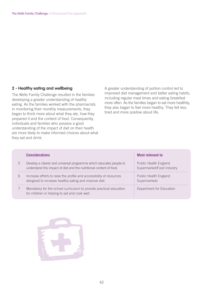#### **2 - Healthy eating and wellbeing**

The Wells Family Challenge resulted in the families developing a greater understanding of healthy eating. As the families worked with the pharmacists in monitoring their monthly measurements, they began to think more about what they ate, how they prepared it and the content of food. Consequently, individuals and families who possess a good understanding of the impact of diet on their health are more likely to make informed choices about what they eat and drink.

A greater understanding of portion control led to improved diet management and better eating habits, including regular meal times and eating breakfast more often. As the families began to eat more healthily, they also began to feel more healthy. They felt less tired and more positive about life.

|   | <b>Considerations</b>                                                                                                                    | : Most relevant to                                   |
|---|------------------------------------------------------------------------------------------------------------------------------------------|------------------------------------------------------|
| h | Develop a clearer and universal programme which educates people to<br>understand the impact of diet and the nutritional content of food. | Public Health England<br>: Supermarket/Food industry |
| 6 | Increase efforts to raise the profile and accessibility of resources<br>designed to increase healthy eating and improve diet.            | Public Health England<br>Supermarkets                |
|   | Mandatory for the school curriculum to provide practical education<br>for children in helping to eat and cook well.                      | Department for Education                             |

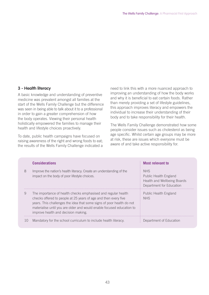#### **3 - Health literacy**

A basic knowledge and understanding of preventive medicine was prevalent amongst all families at the start of the Wells Family Challenge but the difference was seen in being able to talk about it to a professional in order to gain a greater comprehension of how the body operates. Viewing their personal health holistically empowered the families to manage their health and lifestyle choices proactively.

To date, public health campaigns have focused on raising awareness of the right and wrong foods to eat; the results of the Wells Family Challenge indicated a need to link this with a more nuanced approach to improving an understanding of how the body works and why it is beneficial to eat certain foods. Rather than merely providing a set of lifestyle guidelines, this approach improves literacy and empowers the individual to increase their understanding of their body and to take responsibility for their health.

The Wells Family Challenge demonstrated how some people consider issues such as cholesterol as being age specific. Whilst certain age groups may be more at risk, these are issues which everyone must be aware of and take active responsibility for.

|    | <b>Considerations</b>                                                                                                                                                                                                                                                                                                     | <b>Most relevant to</b>                                                                        |
|----|---------------------------------------------------------------------------------------------------------------------------------------------------------------------------------------------------------------------------------------------------------------------------------------------------------------------------|------------------------------------------------------------------------------------------------|
| 8  | Improve the nation's health literacy. Create an understanding of the<br>impact on the body of poor lifestyle choices.                                                                                                                                                                                                     | <b>NHS</b><br>Public Health England<br>Health and Wellbeing Boards<br>Department for Education |
| 9  | The importance of health checks emphasised and regular health<br>checks offered to people at 25 years of age and then every five<br>years. This challenges the idea that some signs of poor health do not<br>materialise until you are older and would enable focused education to<br>improve health and decision making. | Public Health England<br><b>NHS</b>                                                            |
| 10 | Mandatory for the school curriculum to include health literacy.                                                                                                                                                                                                                                                           | Department of Education                                                                        |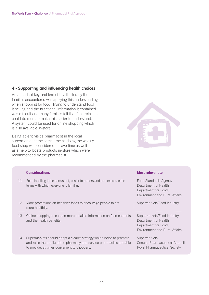### **4 - Supporting and influencing health choices**

An attendant key problem of health literacy the families encountered was applying this understanding when shopping for food. Trying to understand food labelling and the nutritional information it contained was difficult and many families felt that food retailers could do more to make this easier to understand. A system could be used for online shopping which is also available in-store.

Being able to visit a pharmacist in the local supermarket at the same time as doing the weekly food shop was considered to save time as well as a help to locate products in-store which were recommended by the pharmacist.



|    | <b>Considerations</b>                                                                                                                                                                         | Most relevant to                                                                                                   |
|----|-----------------------------------------------------------------------------------------------------------------------------------------------------------------------------------------------|--------------------------------------------------------------------------------------------------------------------|
| 11 | Food labelling to be consistent, easier to understand and expressed in<br>terms with which everyone is familiar.                                                                              | Food Standards Agency<br>Department of Health<br>Department for Food,<br><b>Environment and Rural Affairs</b>      |
| 12 | More promotions on healthier foods to encourage people to eat<br>more healthily.                                                                                                              | Supermarkets/Food industry                                                                                         |
| 13 | Online shopping to contain more detailed information on food contents<br>and the health benefits.                                                                                             | Supermarkets/Food industry<br>Department of Health<br>Department for Food,<br><b>Environment and Rural Affairs</b> |
| 14 | Supermarkets should adopt a clearer strategy which helps to promote<br>and raise the profile of the pharmacy and service pharmacists are able<br>to provide, at times convenient to shoppers. | Supermarkets<br>General Pharmaceutical Council<br>Royal Pharmaceutical Society                                     |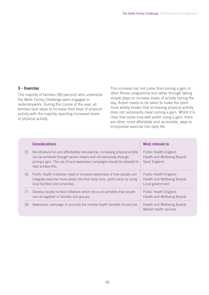#### **5 - Exercise**

The majority of families (90 percent) who undertook the Wells Family Challenge were engaged in sedentarywork. During the course of the year, all families took steps to increase their level of physical activity with the majority reporting increased levels of physical activity.

This increase has not come from joining a gym or other fitness programme but rather through taking simple steps to increase levels of activity during the day. Action needs to be taken to make the point more widely known that increasing physical activity does not necessarily mean joining a gym. Whilst it is clear that some may well prefer using a gym, there are other, more affordable and accessible, ways to incorporate exercise into daily life.

|    | <b>Considerations</b>                                                                                                                                                                                                                                  | <b>Most relevant to</b>                                                      |
|----|--------------------------------------------------------------------------------------------------------------------------------------------------------------------------------------------------------------------------------------------------------|------------------------------------------------------------------------------|
| 15 | Re-introduce fun and affordability into exercise. Increasing physical activity<br>can be achieved through various means and not exclusively through<br>joining a gym. The use of local awareness campaigns should be adopted to:<br>help achieve this. | Public Health England<br><b>Health and Wellbeing Boards</b><br>Sport England |
| 16 | Public health initiatives need to increase awareness of how people can<br>integrate exercise more easily into their daily lives, particularly by using<br>local facilities and amenities.                                                              | Public Health England<br>Health and Wellbeing Boards<br>Local government     |
| 17 | Develop locally funded initiatives which focus on activities that people<br>can do together in families and groups.                                                                                                                                    | Public Health England<br>Health and Wellbeing Boards                         |
| 18 | Awareness campaign to promote the mental health benefits of exercise.                                                                                                                                                                                  | Health and Wellbeing Boards<br>Mental health services                        |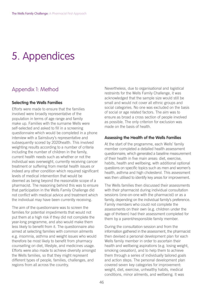# 5. Appendices

# Appendix 1: Method

#### **Selecting the Wells Families**

Efforts were made to ensure that the families involved were broadly representative of the population in terms of age range and family make up. Families with the surname Wells were self-selected and asked to fill in a screening questionnaire which would be completed in a phone interview with a Sainsbury's representative and subsequently scored by 2020health. This involved weighting results according to a number of criteria including the number of children in the family, current health needs such as whether or not the individual was overweight, currently receiving cancer treatment or suffering from mental health issues or indeed any other condition which required significant levels of medical intervention that would be deemed as being beyond the reasonable scope of a pharmacist. The reasoning behind this was to ensure that participation in the Wells Family Challenge did not conflict with medical advice and treatment which the individual may have been currently receiving.

The aim of the questionnaire was to screen the families for potential impediments that would not put them at a high risk if they did not complete the year-long programme, and also would make them less likely to benefit from it. The questionnaire also aimed at selecting families with common ailments e.g. insomnia, asthma and weight issues who would therefore be most likely to benefit from pharmacy counselling on diet, lifestyle, and medicines usage. Efforts were also made to achieve diversity amongst the Wells families, so that they might represent different types of people, families, challenges, and regions from all across the country.

Nevertheless, due to organisational and logistical restraints for the Wells Family Challenge, it was acknowledged that the sample size would still be small and would not cover all ethnic groups and social categories. No one was excluded on the basis of social or age related factors. The aim was to ensure as broad a cross section of people involved as possible. The only criterion for exclusion was made on the basis of health.

#### **Assessing the Health of the Wells Families**

At the start of the programme, each Wells' family member completed a detailed health assessment questionnaire, which generated a baseline measurement of their health in five main areas: diet, exercise, habits, health and wellbeing, with additional optional questions on specific topics such as men and women's health, asthma and high cholesterol. This assessment was then utilised to identify key areas for improvement.

The Wells families then discussed their assessments with their pharmacist during individual consultation sessions (one-on-one with the pharmacist) or as a family, depending on the individual family's preference. Family members who could not complete the assessments on their own (e.g. children under the age of thirteen) had their assessment completed for them by a parent/responsible family member.

During the consultation session and from the information gathered in the assessment, the pharmacist then devised a personal development plan for each Wells family member in order to ascertain their health and wellbeing aspirations (e.g. losing weight, smoking cessation), and to help them to achieve them through a series of individually tailored goals and action steps. The personal development plan covered seven key categories for improvement: weight, diet, exercise, unhealthy habits, medical conditions, minor ailments, and wellbeing. It was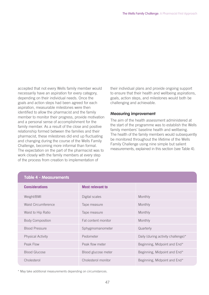accepted that not every Wells family member would necessarily have an aspiration for every category, depending on their individual needs. Once the goals and action steps had been agreed for each aspiration, measurable milestones were then identified to allow the pharmacist and the family member to monitor their progress, provide motivation and a personal sense of accomplishment for the family member. As a result of the close and positive relationship formed between the families and their pharmacist, these milestones did end up fluctuating and changing during the course of the Wells Family Challenge, becoming more informal than formal. The expectation on the part of the pharmacist was to work closely with the family members at every step of the process from creation to implementation of

their individual plans and provide ongoing support to ensure that their health and wellbeing aspirations, goals, action steps, and milestones would both be challenging and achievable.

#### **Measuring improvement**

The aim of the health assessment administered at the start of the programme was to establish the Wells family members' baseline health and wellbeing. The health of the family members would subsequently be monitored throughout the lifetime of the Wells Family Challenge using nine simple but salient measurements, explained in this section (see Table 4).

| <b>Considerations</b>    | <b>Most relevant to</b> |                                    |
|--------------------------|-------------------------|------------------------------------|
| Weight/BMI               | Digital scales          | Monthly                            |
| Waist Circumference      | Tape measure            | Monthly                            |
| Waist to Hip Ratio       | Tape measure            | Monthly                            |
| <b>Body Composition</b>  | Fat content monitor     | Monthly                            |
| <b>Blood Pressure</b>    | Sphygmomanometer        | Quarterly                          |
| <b>Physical Activity</b> | Pedometer               | Daily (during activity challenge)* |
| Peak Flow                | Peak flow meter         | Beginning, Midpoint and End*       |
| <b>Blood Glucose</b>     | Blood glucose meter     | Beginning, Midpoint and End*       |
| Cholesterol              | Cholesterol monitor     | Beginning, Midpoint and End*       |

#### **Table 4 - Measurements**

\* May take additional measurements depending on circumstances.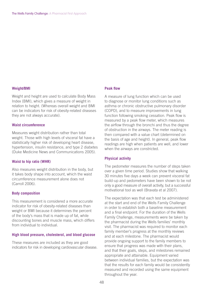#### **Weight/BMI**

Weight and height are used to calculate Body Mass Index (BMI), which gives a measure of weight in relation to height. (Whereas overall weight and BMI can be indicators for risk of obesity-related diseases they are not always accurate).

#### **Waist circumference**

Measures weight distribution rather than total weight. Those with high levels of visceral fat have a statistically higher risk of developing heart disease, hypertension, insulin resistance, and type 2 diabetes (Duke Medicine News and Communications 2005).

#### **Waist to hip ratio (WHR)**

Also measures weight distribution in the body, but it takes body shape into account, which the waist circumference measurement alone does not (Carroll 2006).

#### **Body composition**

This measurement is considered a more accurate indicator for risk of obesity-related diseases than weight or BMI because it determines the percent of the body's mass that is made up of fat, while discounting bones and muscle mass, which differs from individual to individual.

#### **High blood pressure, cholesterol, and blood glucose**

These measures are included as they are good indicators for risk in developing cardiovascular disease.

#### **Peak flow**

A measure of lung function which can be used to diagnose or monitor lung conditions such as asthma or chronic obstructive pulmonary disorder (COPD), and to measure improvements in lung function following smoking cessation. Peak flow is measured by a peak flow meter, which measures the airflow through the bronchi and thus the degree of obstruction in the airways. The meter reading is then compared with a value chart (determined on the basis of age and height). In general, peak flow readings are high when patients are well, and lower when the airways are constricted.

#### **Physical activity**

The pedometer measures the number of steps taken over a given time period. Studies show that walking 30 minutes five days a week can prevent visceral fat build-up and pedometers have been shown to be not only a good measure of overall activity, but a successful motivational tool as well (Bravata et al 2007).

The expectation was that each test be administered at the start and end of the Wells Family Challenge in order to establish both a baseline measurement and a final endpoint. For the duration of the Wells Family Challenge, measurements were be taken by the pharmacist during the Wells families' monthly visit. The pharmacist was required to monitor each family member's progress at the monthly reviews and at each milestone. The pharmacist would provide ongoing support to the family members to ensure that progress was made with their plans, and that their goals, steps, and milestones remained appropriate and attainable. Equipment varied between individual families, but the expectation was that the results for each family would be consistently measured and recorded using the same equipment throughout the year.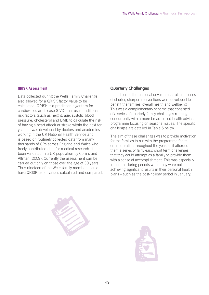#### **QRISK Assessment**

Data collected during the Wells Family Challenge also allowed for a QRISK factor value to be calculated. QRISK is a prediction algorithm for cardiovascular disease (CVD) that uses traditional risk factors (such as height, age, systolic blood pressure, cholesterol and BMI) to calculate the risk of having a heart attack or stroke within the next ten years. It was developed by doctors and academics working in the UK National Health Service and is based on routinely collected data from many thousands of GPs across England and Wales who freely contributed data for medical research. It has been validated in a UK population by Collins and Altman (2009). Currently the assessment can be carried out only on those over the age of 30 years. Thus nineteen of the Wells family members could have QRISK factor values calculated and compared.

#### **Quarterly Challenges**

In addition to the personal development plan, a series of shorter, sharper interventions were developed to benefit the families' overall health and wellbeing. This was a complementary scheme that consisted of a series of quarterly family challenges running concurrently with a more broad-based health advice programme focusing on seasonal issues. The specific challenges are detailed in Table 5 below.

The aim of these challenges was to provide motivation for the families to run with the programme for its entire duration throughout the year, as it afforded them a series of fairly easy, short term challenges that they could attempt as a family to provide them with a sense of accomplishment. This was especially important during periods when they were not achieving significant results in their personal health plans – such as the post-holiday period in January.



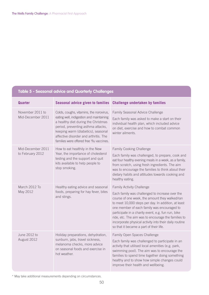# **Table 5 - Seasonal advice and Quarterly Challenges**

| <b>Quarter</b>                        | <b>Seasonal advice given to families</b>                                                                                                                                                                                                                                                     | <b>Challenge undertaken by families</b>                                                                                                                                                                                                                                                                                                                                                                                                                       |
|---------------------------------------|----------------------------------------------------------------------------------------------------------------------------------------------------------------------------------------------------------------------------------------------------------------------------------------------|---------------------------------------------------------------------------------------------------------------------------------------------------------------------------------------------------------------------------------------------------------------------------------------------------------------------------------------------------------------------------------------------------------------------------------------------------------------|
| November 2011 to<br>Mid-December 2011 | Colds, coughs, vitamins, the norovirus,<br>eating well, indigestion and maintaining<br>a healthy diet during the Christmas<br>period, preventing asthma attacks,<br>keeping warm (diabetics), seasonal<br>affective disorder and arthritis. The<br>families were offered free 'flu vaccines. | Family Seasonal Advice Challenge<br>Each family was asked to make a start on their<br>individual health plan, which included advice<br>on diet, exercise and how to combat common<br>winter ailments.                                                                                                                                                                                                                                                         |
| Mid-December 2011<br>to February 2012 | How to eat healthily in the New<br>Year, the importance of cholesterol<br>testing and the support and quit<br>kits available to help people to<br>stop smoking.                                                                                                                              | <b>Family Cooking Challenge</b><br>Each family was challenged, to prepare, cook and<br>eat four healthy evening meals in a week, as a family,<br>from scratch, using fresh ingredients. The aim<br>was to encourage the families to think about their<br>dietary habits and attitudes towards cooking and<br>healthy eating.                                                                                                                                  |
| March 2012 To<br>May 2012             | Healthy eating advice and seasonal<br>foods, preparing for hay fever, bites<br>and stings.                                                                                                                                                                                                   | <b>Family Activity Challenge</b><br>Each family was challenged to increase over the<br>course of one week, the amount they walked/ran<br>to meet 10,000 steps per day. In addition, at least<br>one member of each family was encouraged to<br>participate in a charity event, e.g. fun run, bike<br>ride, etc. The aim was to encourage the families to<br>incorporate physical activity into their daily routine<br>so that it became a part of their life. |
| June 2012 to<br>August 2012           | Holiday preparations, dehydration,<br>sunburn, jabs, travel sickness,<br>melanoma checks, more advice<br>on seasonal foods and exercise in<br>hot weather.                                                                                                                                   | Family Open Spaces Challenge<br>Each family was challenged to participate in an<br>activity that utilised local amenities (e.g. park,<br>swimming pool). The aim was to encourage the<br>families to spend time together doing something<br>healthy and to show how simple changes could<br>improve their health and wellbeing.                                                                                                                               |

\* May take additional measurements depending on circumstances.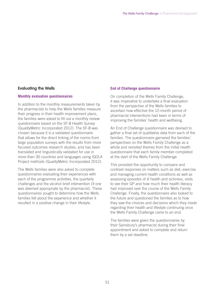#### **Evaluating the Wells**

#### **Monthly evaluation questionnaires**

In addition to the monthly measurements taken by the pharmacists to help the Wells families measure their progress in their health improvement plans, the families were asked to fill out a monthly review questionnaire based on the SF-8 Health Survey (QualityMetric Incorporated 2012). The SF-8 was chosen because it is a validated questionnaire that allows for the direct linking of the norms from large population surveys with the results from more focused outcomes research studies, and has been translated and linguistically validated for use in more than 30 countries and languages using IQOLA Project methods (QualityMetric Incorporated 2012).

The Wells families were also asked to complete questionnaires evaluating their experiences with each of the programme activities, the quarterly challenges and the alcohol brief intervention (if one was deemed appropriate by the pharmacist). These questionnaires sought to determine how the Wells families felt about the experience and whether it resulted in a positive change in their lifestyle.

#### **End of Challenge questionnaire**

On completion of the Wells Family Challenge, it was imperative to undertake a final evaluation from the perspective of the Wells families to ascertain how effective the 12-month period of pharmacist interventions had been in terms of improving the families' health and wellbeing.

An End of Challenge questionnaire was devised to gather a final set of qualitative data from each of the families. The questionnaire garnered the families' perspectives on the Wells Family Challenge as a whole and revisited themes from the initial health questionnaire that each family member completed at the start of the Wells Family Challenge.

This provided the opportunity to compare and contrast responses on matters such as diet, exercise and managing current health conditions as well as assessing episodes of ill health and sickness, visits to see their GP and how much their health literacy had improved over the course of the Wells Family Challenge. Finally, the questionnaire also looked to the future and questioned the families as to how they saw the choices and decisions which they made regarding their health and lifestyle continuing once the Wells Family Challenge came to an end.

The families were given the questionnaires by their Sainsbury's pharmacist during their final appointment and asked to complete and return them by a set deadline.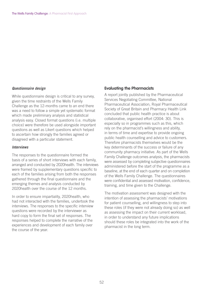#### **Questionnaire design**

While questionnaire design is critical to any survey, given the time restraints of the Wells Family Challenge as the 12-months came to an end there was a need to follow a simple yet systematic format which made preliminary analysis and statistical analysis easy. Closed format questions (i.e. multiple choice) were therefore be used alongside important questions as well as Likert questions which helped to ascertain how strongly the families agreed or disagreed with a particular statement.

#### **Interviews**

The responses to the questionnaire formed the basis of a series of short interviews with each family, arranged and conducted by 2020health. The interviews were framed by supplementary questions specific to each of the families arising from both the responses gathered through the final questionnaire and the emerging themes and analysis conducted by 2020health over the course of the 12 months.

In order to ensure impartiality, 2020health, who had not interacted with the families, undertook the interviews. The responses to the specific interview questions were recorded by the interviewer as hard copy to form the final set of responses. The responses helped to complete the narrative of the experiences and development of each family over the course of the year.

#### **Evaluating the Pharmacists**

A report jointly published by the Pharmaceutical Services Negotiating Committee, National Pharmaceutical Association, Royal Pharmaceutical Society of Great Britain and Pharmacy Health Link concluded that public health practice is about collaborative, organised effort (2004: 30). This is especially so in programmes such as this, which rely on the pharmacist's willingness and ability, in terms of time and expertise to provide ongoing public health counselling and advice to customers. Therefore pharmacists themselves would be the key determinants of the success or failure of any community pharmacy initiative. As part of the Wells Family Challenge outcomes analysis, the pharmacists were assessed by completing subjective questionnaires administered before the start of the programme as a baseline, at the end of each quarter and on completion of the Wells Family Challenge. The questionnaires were confidential and assessed motivation, confidence, training, and time given to the Challenge.

The motivation assessment was designed with the intention of assessing the pharmacists' motivations for patient counselling, and willingness to step into these roles (if they were not already doing so) as well as assessing the impact on their current workload, in order to understand any future implications should these roles be integrated into the work of the pharmacist in the long term.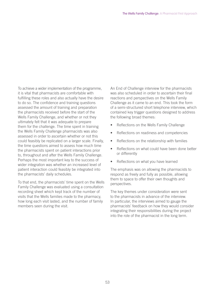To achieve a wider implementation of the programme, it is vital that pharmacists are comfortable with fulfilling these roles and also actually have the desire to do so. The confidence and training questions assessed the amount of training and preparation the pharmacists received before the start of the Wells Family Challenge, and whether or not they ultimately felt that it was adequate to prepare them for the challenge. The time spent in training the Wells Family Challenge pharmacists was also assessed in order to ascertain whether or not this could feasibly be replicated on a larger scale. Finally, the time questions aimed to assess how much time the pharmacists spent on patient interactions prior to, throughout and after the Wells Family Challenge. Perhaps the most important key to the success of wider integration was whether an increased level of patient interaction could feasibly be integrated into the pharmacists' daily schedules.

To that end, the pharmacists' time spent on the Wells Family Challenge was evaluated using a consultation recording sheet which kept track of the number of visits that the Wells families made to the pharmacy, how long each visit lasted, and the number of family members seen during the visit.

An End of Challenge interview for the pharmacists was also scheduled in order to ascertain their final reactions and perspectives on the Wells Family Challenge as it came to an end. This took the form of a semi-structured short telephone interview, which contained key trigger questions designed to address the following broad themes:

- Reflections on the Wells Family Challenge
- Reflections on readiness and competencies
- Reflections on the relationship with families
- Reflections on what could have been done better or differently
- Reflections on what you have learned

The emphasis was on allowing the pharmacists to respond as freely and fully as possible, allowing them to space to offer their own thoughts and perspectives.

The key themes under consideration were sent to the pharmacists in advance of the interview. In particular, the interviews aimed to gauge the pharmacists' feedback on how they would consider integrating their responsibilities during the project into the role of the pharmacist in the long term.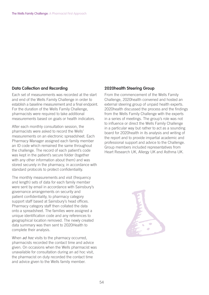#### **Data Collection and Recording**

Each set of measurements was recorded at the start and end of the Wells Family Challenge in order to establish a baseline measurement and a final endpoint. For the duration of the Wells Family Challenge, pharmacists were required to take additional measurements based on goals or health indicators.

After each monthly consultation session, the pharmacists were asked to record the Wells' measurements on an electronic spreadsheet. Each Pharmacy Manager assigned each family member an ID code which remained the same throughout the challenge. The record of each patient's code was kept in the patient's secure folder (together with any other information about them) and was stored securely in the pharmacy, in accordance with standard protocols to protect confidentiality.

The monthly measurements and visit (frequency and length) sets of data for each family member were sent by email in accordance with Sainsbury's governance arrangements on security and patient confidentiality, to pharmacy category support staff based at Sainsbury's head offices. Pharmacy category staff then collated the data onto a spreadsheet. The families were assigned a unique identification code and any references to geographical location removed. The newly created data summary was then sent to 2020Health to complete their analysis.

When *ad hoc* visits to the pharmacy occurred, pharmacists recorded the contact time and advice given. On occasions when the Wells pharmacist was unavailable for consultation during an ad hoc visit, the pharmacist on duty recorded the contact time and advice given to the Wells family member.

#### **2020health Steering Group**

From the commencement of the Wells Family Challenge, 2020health convened and hosted an external steering group of unpaid health experts. 2020health discussed the process and the findings from the Wells Family Challenge with the experts in a series of meetings. The group's role was not to influence or direct the Wells Family Challenge in a particular way but rather to act as a sounding board for 2020health in its analysis and writing of the report and to provide impartial academic and professional support and advice to the Challenge. Group members included representatives from Heart Research UK, Allergy UK and Asthma UK.

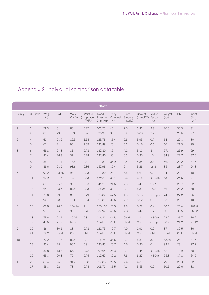# Appendix 2: Individual comparison data table

|                 |                      |              |               |              |                   | <b>START</b>                     |                                                          |                         |                              |                  |                |              |                        |
|-----------------|----------------------|--------------|---------------|--------------|-------------------|----------------------------------|----------------------------------------------------------|-------------------------|------------------------------|------------------|----------------|--------------|------------------------|
| Family          | OL Code Weight       | (Kg)         | <b>BMI</b>    | Waist        | Waist to<br>(WHR) | <b>Blood</b><br>$(mm Hg)$ $(\%)$ | Body<br>Circf (cm) Hip ration Pressure Composit. Glucose | <b>Blood</b><br>(mg/dL) | Cholest.<br>(mmol/l2) Factor | QRISK<br>(% )    | Weight<br>(Kg) | <b>BMI</b>   | Waist<br>Circf<br>(cm) |
| 1               | $\mathbf{1}$         | 78.3         | 31            | 86           | 0.77              | 103/73                           | 40                                                       | 7.5                     | 3.82                         | 2.8              | 76.5           | 30.3         | 81                     |
|                 | $\mathbf{2}$         | 88           | 29            | 103.5        | 0.96              | 130/97                           | 33                                                       | 5.2                     | 5.08                         | 2.7              | 85.5           | 28.6         | 97.5                   |
| $\overline{2}$  | $\overline{4}$       | 62           | 21.5          | 82.5         | 1.14              | 125/73                           | 16.4                                                     | 5.3                     | 5.95                         | 0.7              | 64             | 22.1         | 80                     |
|                 | 5                    | 65           | 21            | 90           | 1.09              | 131/89                           | 25                                                       | 5.2                     | 5.16                         | 0.6              | 66             | 21.3         | 95                     |
| 3               | 6<br>$7\overline{ }$ | 63.8<br>85.4 | 24.3<br>26.8  | 31<br>31     | 0.78<br>0.78      | 137/80<br>137/80                 | 35<br>35                                                 | 4.2<br>6.3              | 5.11<br>5.35                 | 8<br>15.1        | 57.4<br>84.9   | 21.9<br>27.7 | 29<br>37.5             |
|                 |                      |              |               |              |                   |                                  |                                                          |                         |                              |                  |                |              |                        |
| $\overline{4}$  | 8<br>9               | 55<br>83.6   | 24.4<br>28.9  | 77.5<br>93.6 | 0.81<br>0.86      | 113/83<br>157/93                 | 35.9<br>30.4                                             | 4.4<br>5                | 4.34<br>5.23                 | 3.8<br>16.3      | 56.3<br>85     | 22.2<br>28.7 | 77.5<br>94.8           |
|                 |                      |              |               |              |                   |                                  |                                                          |                         |                              |                  |                |              |                        |
| 5               | 10<br>11             | 92.2<br>60.9 | 28.85<br>24.7 | 98<br>79.2   | 0.93<br>0.83      | 113/80<br>87/62                  | 28.1<br>30.4                                             | 6.5<br>4.6              | 5.6<br>6.15                  | 0.9<br>$<$ 30yrs | 94<br>63       | 29<br>25.6   | 102<br>94              |
| 6               | 12                   | 85           | 25.7          | 95           | 0.93              | 94/62                            | 21.6                                                     | 4.3                     | 3.43                         | 23.7             | 85             | 25.7         | 92                     |
|                 | 13                   | 64           | 23.5          | 89.5         | 0.93              | 125/85                           | 30.7                                                     | 4.1                     | 5.31                         | 18.2             | 66             | 24.2         | 78                     |
| $7\overline{ }$ | 14                   | 79.05        | 29            | 89           | 0.79              | 123/82                           | 47.5                                                     | 4.3                     | 5.18                         | $<$ 30yrs        | 74.05          | 27.2         | 86                     |
|                 | 15                   | 94           | 28            | 103          | 0.94              | 121/81                           | 32.6                                                     | 4.9                     | 5.22                         | 0.8              | 93.8           | 28           | 100                    |
| 8               | 16                   | 89.8         | 28.8          | 104.14       | $\mathbf{1}$      | 156/108 25.5                     |                                                          | 4.9                     | 5.29                         | 8.4              | 88.6           | 28.4         | 101.6                  |
|                 | 17                   | 91.1         | 35.8          | 93.98        | 0.76              | 137/97                           | 48.6                                                     | 4.8                     | 5.47                         | 5.7              | 90.3           | 35.5         | 96.52                  |
|                 | 18                   | 75.6         | 28.1          | 80.01        | 0.81              | 114/81                           | Child                                                    | Child                   | Child                        | $<$ 30yrs        | 73.2           | 26.7         | 76.2                   |
|                 | 19                   | 47.6         | 21.2          | 69.85        | 0.8               | Child                            | Child                                                    | Child                   | Child                        | $<$ 30yrs        | 50.9           | 21.2         | 71.12                  |
| 9               | 20                   | 86           | 30.1          | 88           | 0.78              | 122/75                           | 42.7                                                     | 4.9                     | 2.91                         | 0.2              | 87             | 30.5         | 86                     |
|                 | 21                   | 22.2         | Child         | Child        | Child             | Child                            | Child                                                    | Child                   | Child                        | Child            | Child          | Child        | Child                  |
| 10              | 22                   | 70.2         | 24.6          | 89.5         | 0.9               | 115/75                           | 36.5                                                     | 4.2                     | 5.51                         | 3.2              | 68.86          | 24           | 87.5                   |
|                 | 23                   | 93.4         | 28            | 96.2         | 0.9               | 135/83                           | 25.7                                                     | 4.6                     | 5.95                         | 6                | 93.2           | 28           | 97.7                   |
|                 | 24                   | 56.8         | 18.3          | 66.2         | 0.72              | 109/64                           | 24.3                                                     | 4.1                     | 3.44                         | $<$ 30yrs        | 62             | 19.9         | 70                     |
|                 | 25                   | 65.1         | 20.3          | 70           | 0.75              | 117/67                           | 12.2                                                     | 7.3                     | 3.27                         | $<$ 30yrs        | 55.8           | 17.8         | 64.5                   |
| 11              | 26                   | 81.4         | 26.9          | 91.2         | 0.88              | 127/88                           | 22.5                                                     | 4.4                     | 4.33                         | 1.3              | 79.6           | 26.3         | 92                     |
|                 | 27                   | 58.1         | 22            | 73           | 0.74              | 103/72                           | 36.5                                                     | 4.1                     | 5.55                         | 0.2              | 60.1           | 22.6         | 88                     |
|                 |                      |              |               |              |                   |                                  |                                                          |                         |                              |                  |                |              |                        |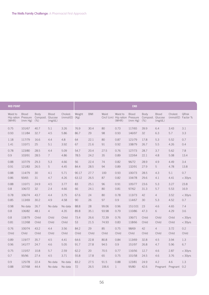| <b>MID POINT</b>  |                                                |                                   |                         |                              |            |              |               |                                                     | <b>END</b>              |                                   |                         |                                |           |
|-------------------|------------------------------------------------|-----------------------------------|-------------------------|------------------------------|------------|--------------|---------------|-----------------------------------------------------|-------------------------|-----------------------------------|-------------------------|--------------------------------|-----------|
| Waist to<br>(WHR) | <b>Blood</b><br>Hip ration Pressure<br>(mm Hg) | Body<br>Composit. Glucose<br>(% ) | <b>Blood</b><br>(mg/dL) | Cholest.<br>$(mmol/l2)$ (Kg) | Weight     | <b>BMI</b>   | Waist         | Waist to<br>Circf (cm) Hip ration Pressure<br>(WHR) | <b>Blood</b><br>(mm Hg) | Body<br>Composit. Glucose<br>(% ) | <b>Blood</b><br>(mg/dL) | Cholest.<br>(mmol/l2) Factor % | QRisk     |
| 0.75              | 101/67                                         | 40.7                              | 5.1                     | 3.26                         | 76.9       | 30.4         | 80            | 0.73                                                | 117/65                  | 39.9                              | 6.4                     | 3.43                           | 3.1       |
| 0.93              | 111/84                                         | 32.7                              | 4.5                     | 5.86                         | 86.7       | 29           | 98            | 0.93                                                | 146/97                  | 32                                | 6.3                     | 5.7                            | 3.3       |
| 1.18              | 117/79                                         | 16.6                              | 4.4                     | 4.8                          | 64         | 22.1         | 80            | 0.87                                                | 121/79                  | 17.8                              | 5.3                     | 5.52                           | 0.7       |
| 1.41              | 110/71                                         | 25                                | 5.1                     | 3.92                         | 67         | 21.6         | 91            | 0.92                                                | 108/79                  | 26.7                              | 5.5                     | 4.26                           | 0.4       |
| 0.78              | 123/80                                         | 28.5                              | 4.4                     | 5.09                         | 54.7       | 20.4         | 27.5          | 0.76                                                | 127/73                  | 28.7                              | 3.7                     | 5.62                           | 7.8       |
| 0.9               | 103/91                                         | 28.5                              | $\overline{7}$          | 4.86                         | 78.5       | 24.2         | 35            | 0.89                                                | 122/64                  | 22.1                              | 4.8                     | 5.08                           | 13.4      |
| 0.88              | 107/79                                         | 29.3                              | 5.3                     | 4.66                         | 56         | 22.4         | 74            | 0.82                                                | 96/72                   | 28.9                              | 4.9                     | 4.49                           | 3.4       |
| 0.91              | 121/83                                         | 26.5                              | 5                       | 4.45                         | 84.4       | 28.5         | 94            | 0.89                                                | 132/91                  | 27.9                              | 5                       | 4.78                           | 13.8      |
| 0.88              | 114/79                                         | 30                                | 4.1                     | 5.71                         | 90.17      | 27.7         | 100           | 0.93                                                | 100/73                  | 28.5                              | 4.3                     | 5.1                            | 0.7       |
| 0.86              | 93/65                                          | 31                                | 4.7                     | 4.26                         | 63.12      | 26.5         | 87            | 0.82                                                | 104/78                  | 29.6                              | 4.1                     | 4.41                           | $<$ 30yrs |
| 0.88              | 110/71                                         | 24.9                              | 4.5                     | 3.77                         | 83         | 25.1         | 96            | 0.91                                                | 105/77                  | 23.6                              | 5.3                     | 3.27                           | 23.8      |
| 0.8               | 106/72                                         | 32                                | 2.4                     | 4.66                         | 66         | 24.1         | 80            | 0.81                                                | 97/62                   | 31.3                              | 5.7                     | 5.53                           | 16.9      |
| 0.78              | 106/74                                         | 43.7                              | 4.4                     | 3.75                         | 67.6       | 24           | 80            | 0.78                                                | 113/73                  | 42                                | $\overline{4}$          | 3.52                           | $<$ 30yrs |
| 0.85              | 113/69                                         | 30.2                              | 4.9                     | 4.58                         | 90         | 26           | 97            | 0.9                                                 | 114/67                  | 30                                | 5.3                     | 4.52                           | 0.7       |
| 0.98              | No data                                        | 26.7                              | No data                 | No data                      | 88.8       | 28           | 99.06         | 0.96                                                | 151/101                 | 23                                | 4.6                     | 4.65                           | 7.4       |
| 0.8               | 106/82                                         | 48.1                              | $\overline{4}$          | 4.35                         | 89.8       | 35.1         | 93.98         | 0.79                                                | 110/86                  | 47.3                              | 6                       | 4.29                           | 3.6       |
| 0.8               | 118/79                                         | Child                             | Child                   | Child                        | 73.4       | 26.6         | 72.39         | 0.76                                                | 106/71                  | Child                             | Child                   | Child                          | $<$ 30yrs |
| 0.81              | 112/68                                         | Child                             | Child                   | Child                        | 53         | 21.5         | 74.93         | 0.83                                                | 118/66                  | Child                             | Child                   | Child                          | $<$ 30yrs |
| 0.76              | 100/74                                         | 43.2                              | 4.4                     | 3.56                         | 84.2       | 29           | 85            | 0.75                                                | 98/69                   | 42                                | $\overline{4}$          | 3.72                           | 0.2       |
| Child             | Child                                          | Child                             | Child                   | Child                        | Child      | Child        | Child         | Child                                               | Child                   | Child                             | Child                   | Child                          | Child     |
| 0.89              | 119/77                                         | 35.7                              | 4.5                     | 4.41                         | 64.6       | 22.8         | 80.8          | 0.84                                                | 113/69                  | 32.8                              | 4.5                     | 3.94                           | 1.3       |
| 0.96              | 141/77                                         | 24.7                              | 4.6                     | 5.05                         | 91.7       | 27.8         | 94.5          | 0.9                                                 | 151/97                  | 26.8                              | 4.7                     | 5.96                           | 6.7       |
| 0.75              | 115/57                                         | 10.8                              | 5.7                     | 2.59                         | 62.2       | 20           | 70.5          | 0.77                                                | 116/56                  | 12.7                              | 4.6                     | 2.87                           | $<$ 30yrs |
| 0.7               | 95/96                                          | 27.4                              | 4.5                     | 3.71                         | 55.8       | 17.8         | 65            | 0.75                                                | 101/58                  | 24.5                              | 4.6                     | 3.76                           | $<$ 30yrs |
| 0.9<br>0.88       | 125/78<br>107/68                               | 22.4<br>44.4                      | No data<br>No data      | No data<br>No data           | 83.2<br>72 | 27.5<br>26.5 | 91.5<br>106.6 | 0.88<br>1                                           | 123/81<br>95/80         | 24.9<br>42.6                      | 4.2                     | 4.6<br>Pregnant Pregnant 0.2   | 1.3       |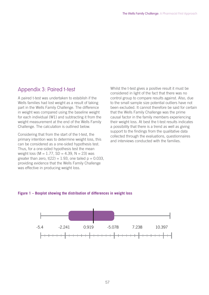## Appendix 3: Paired t-test

A paired t-test was undertaken to establish if the Wells families had lost weight as a result of taking part in the Wells Family Challenge. The difference in weight was compared using the baseline weight for each individual (W1) and subtracting it from the weight measurement at the end of the Wells Family Challenge. The calculation is outlined below.

Considering that from the start of the t-test, the primary intention was to determine weight loss, this can be considered as a one-sided hypothesis test. Thus, for a one-sided hypothesis test the mean weight loss ( $M = 1.77$ , SD = 4.39, N = 23) was greater than zero,  $t(22) = 1.93$ , one tailed  $p = 0.033$ , providing evidence that the Wells Family Challenge was effective in producing weight loss.

Whilst the t-test gives a positive result it must be considered in light of the fact that there was no control group to compare results against. Also, due to the small sample size potential outliers have not been excluded. It cannot therefore be said for certain that the Wells Family Challenge was the prime causal factor in the family members experiencing their weight loss. At best the t-test results indicates a possibility that there is a trend as well as giving support to the findings from the qualitative data collected through the evaluations, questionnaires and interviews conducted with the families.

#### **Figure 1 – Boxplot showing the distribution of differences in weight loss**

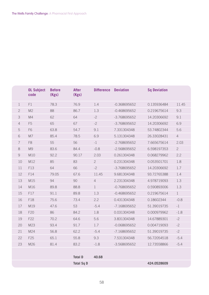|                | <b>OL Subject</b><br>code | <b>Before</b><br>(Kgs) | <b>After</b><br>(Kgs) | <b>Difference</b> | <b>Deviation</b> | <b>Sq Deviation</b> |                |
|----------------|---------------------------|------------------------|-----------------------|-------------------|------------------|---------------------|----------------|
| $\mathbf 1$    | F1                        | 78.3                   | 76.9                  | 1.4               | $-0.368695652$   | 0.135936484         | 11.45          |
| $\mathbf{2}$   | M <sub>2</sub>            | 88                     | 86.7                  | 1.3               | $-0.468695652$   | 0.219675614         | 9.3            |
| 3              | M <sub>4</sub>            | 62                     | 64                    | $-2$              | -3.768695652     | 14.20306692         | 9.1            |
| $\overline{4}$ | F <sub>5</sub>            | 65                     | 67                    | $-2$              | -3.768695652     | 14.20306692         | 6.9            |
| 5              | F <sub>6</sub>            | 63.8                   | 54.7                  | 9.1               | 7.331304348      | 53.74802344         | 5.6            |
| 6              | M7                        | 85.4                   | 78.5                  | 6.9               | 5.131304348      | 26.33028431         | $\overline{4}$ |
| 7              | F <sub>8</sub>            | 55                     | 56                    | $-1$              | $-2.768695652$   | 7.665675614         | 2.03           |
| 8              | M9                        | 83.6                   | 84.4                  | $-0.8$            | $-2.568695652$   | 6.598197353         | $\overline{c}$ |
| $\mathcal{G}$  | M10                       | 92.2                   | 90.17                 | 2.03              | 0.261304348      | 0.068279962         | 2.2            |
| 10             | M12                       | 85                     | 83                    | $\overline{2}$    | 0.231304348      | 0.053501701         | 1.8            |
| 11             | F13                       | 64                     | 66                    | $-2$              | -3.768695652     | 14.20306692         | 1.7            |
| 12             | F14                       | 79.05                  | 67.6                  | 11.45             | 9.681304348      | 93.72765388         | 1.4            |
| 13             | M15                       | 94                     | 90                    | $\overline{4}$    | 2.231304348      | 4.978719093         | 1.3            |
| 14             | M16                       | 89.8                   | 88.8                  | $\mathbf{1}$      | $-0.768695652$   | 0.590893006         | 1.3            |
| 15             | F17                       | 91.1                   | 89.8                  | 1.3               | $-0.468695652$   | 0.219675614         | $\mathbf{1}$   |
| 16             | F18                       | 75.6                   | 73.4                  | 2.2               | 0.431304348      | 0.18602344          | $-0.8$         |
| 17             | M19                       | 47.6                   | 53                    | $-5.4$            | -7.168695652     | 51.39019735         | $-1$           |
| 18             | F20                       | 86                     | 84.2                  | 1.8               | 0.031304348      | 0.000979962         | $-1.8$         |
| 19             | F22                       | 70.2                   | 64.6                  | 5.6               | 3.831304348      | 14.67889301         | $-2$           |
| 20             | M23                       | 93.4                   | 91.7                  | 1.7               | $-0.068695652$   | 0.004719093         | $-2$           |
| 21             | M24                       | 56.8                   | 62.2                  | $-5.4$            | $-7.168695652$   | 51.39019735         | $-2$           |
| 22             | F25                       | 65.1                   | 55.8                  | 9.3               | 7.531304348      | 56.72054518         | $-5.4$         |
| 23             | M26                       | 81.4                   | 83.2                  | $-1.8$            | -3.568695652     | 12.73558866         | $-5.4$         |
|                |                           |                        |                       |                   |                  |                     |                |
|                |                           |                        | <b>Total D</b>        | 40.68             |                  |                     |                |
|                |                           |                        | <b>Total Sq D</b>     |                   |                  | 424.0528609         |                |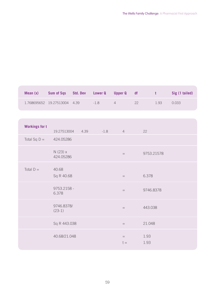| Mean(x)                        | Sum of Sqs Std. Dev Lower Q |                  |        | <b>Upper Q</b> | df | $\mathbf t$  | Sig (1 tailed) |
|--------------------------------|-----------------------------|------------------|--------|----------------|----|--------------|----------------|
| 1.768695652  19.27513004  4.39 |                             |                  | $-1.8$ | $\overline{4}$ | 22 | 1.93         | 0.033          |
|                                |                             |                  |        |                |    |              |                |
| <b>Workings for t</b>          |                             | 19.27513004 4.39 | $-1.8$ | $\overline{4}$ |    | 22           |                |
| Total Sq $D =$                 | 424.05286                   |                  |        |                |    |              |                |
|                                | $N(23)$ x<br>424.05286      |                  |        | $=$            |    | 9753.21578   |                |
| Total $D =$                    | 40.68<br>Sq R 40.68         |                  |        | $=$            |    | 6.378        |                |
|                                | 9753.2158 -<br>6.378        |                  |        | $=$            |    | 9746.8378    |                |
|                                | 9746.8378/<br>$(23-1)$      |                  |        | $=$            |    | 443.038      |                |
|                                | Sq R 443.038                |                  |        | $=$            |    | 21.048       |                |
|                                | 40.68/21.048                |                  |        | $=$<br>$t =$   |    | 1.93<br>1.93 |                |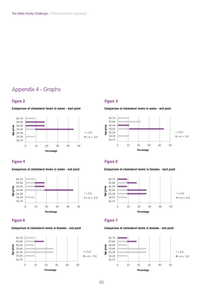# Appendix 4 - Graphs

#### **Figure 2 Figure 3**



#### **Figure 4 Figure 5 Figure 5**

#### **Comparison of cholesterol levels in males - end point**

**Comparison of cholesterol levels in males - start point** 



#### **Figure 6 Figure 7 Figure 7**

#### **Comparison of cholesterol levels in females - mid point**



**Comparison of cholesterol levels in males - mid point** 



#### **Comparison of cholesterol levels in females - start point**





**Comparison of cholesterol levels in females - end point** 

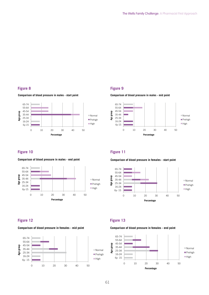#### **Figure 8 Figure 9**





#### **Figure 10 Figure 11**

**Comparison of blood pressure in males - end point** 



#### **Figure 12 Figure 13**

#### **Comparison of blood pressure in females - mid point**



**Comparison of blood pressure in males - mid point** 



**Comparison of blood pressure in females - start point** 



#### **Comparison of blood pressure in females - end point**

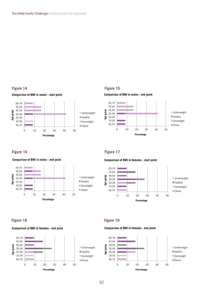#### **Figure 14 Figure 15**





**Comparison of BMI in males - end point** 







**Figure 16 Figure 17 Figure 17** 





#### **Figure 18 Figure 19 Figure 19**

**Comparison of BMI in females - mid point** 



**Comparison of BMI in females - end point** 

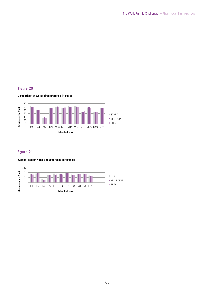#### **Figure 20**

#### **Comparison of waist circumference in males**



#### **Figure 21**

#### **Comparison of waist circumference in females**

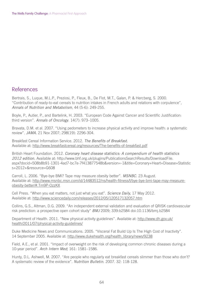## References

Bertrais, S., Luque, M.L.P., Preziosi, P., Fleux, B., De Flot, M.T., Galan, P. & Hercberg, S. 2000. "Contribution of ready-to-eat cereals to nutrition intakes in French adults and relations with corpulence", Annals of Nutrition and Metabolism, 44 (5-6): 249-255.

Boyle, P., Autier, P., and Bartelink, H. 2003. "European Code Against Cancer and Scientific Justification: third version". Annals of Oncology. 14(7): 973-1005.

Bravata, D.M. et al. 2007. "Using pedometers to increase physical activity and improve health: a systematic review". JAMA. 21 Nov 2007; 298(19): 2296-304.

Breakfast Cereal Information Service. 2012. The Benefits of Breakfast. Available at: http://www.breakfastcereal.org/resources/The-benefits-of-breakfast.pdf

British Heart Foundation. 2012. Coronary heart disease statistics: A compendium of health statistics 2012 edition. Available at: http://www.bhf.org.uk/plugins/PublicationsSearchResults/DownloadFile. aspx?docid=508b8b91-1301-4ad7-bc7e-7f413877548b&version=-1&title=Coronary+Heart+Disease+Statistic s+2012+&resource=G608

Carroll, L. 2006. "Bye-bye BMI? Tape may measure obesity better". MSNBC. 23 August. Available at: http://www.msnbc.msn.com/id/14483512/ns/health-fitness/t/bye-bye-bmi-tape-may-measureobesity-better/#.Tm9P-OzzKX

Cell Press. "When you eat matters, not just what you eat". Science Daily, 17 May 2012. Available at: http://www.sciencedaily.com/releases/2012/05/120517132057.htm

Collins, G.S., Altman, D.G. 2009. "An independent external validation and evaluation of QRISK cardiovascular risk prediction: a prospective open cohort study" BMJ 2009; 339:b2584 doi:10.1136/bmj.b2584

Department of Health. 2011. "New physical activity guidelines". Available at: http://www.dh.gov.uk/ health/2011/07/physical-activity-guidelines/

Duke Medicine News and Communications. 2005. "Visceral Fat Build Up Is The High Cost of Inactivity". 14 September 2005. Available at: http://www.dukehealth.org/health\_library/news/9238

Field, A.E., et al. 2001. "Impact of overweight on the risk of developing common chronic diseases during a 10-year period". Arch Intern Med; 161: 1581–1586.

Hunty, D.L. Ashwell, M. 2007. "Are people who regularly eat breakfast cereals slimmer than those who don't? A systematic review of the evidence". Nutrition Bulletin. 2007. 32: 118-128.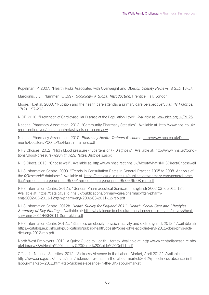Kopelman, P. 2007. "Health Risks Associated with Overweight and Obesity. Obesity Reviews. 8 (s1): 13-17.

Marcionis, J.J., Plummer, K. 1997. Sociology: A Global Introduction. Prentice Hall: London.

Moore, H.,et al. 2000. "Nutrition and the health care agenda: a primary care perspective". Family Practice. 17(2): 197-202.

NICE. 2010. "Prevention of Cardiovascular Disease at the Population Level". Available at: www.nice.org.uk/PH25.

National Pharmacy Association. 2012. "Community Pharmacy Statistics". Available at: http://www.npa.co.uk/ representing-you/media-centre/fast-facts-on-pharmacy/

National Pharmacy Association. 2010. Pharmacy Health Trainers Resource. http://www.npa.co.uk/Documents/Docstore/PCO\_LPCs/Health\_Trainers.pdf

NHS Choices. 2012. "High blood pressure (hypertension) - Diagnosis". Available at: http://www.nhs.uk/Conditions/Blood-pressure-%28high%29/Pages/Diagnosis.aspx

NHS Direct. 2013. "Choose well". Available at: http://www.nhsdirect.nhs.uk/About/WhatIsNHSDirect/Choosewell

NHS Information Centre. 2009. "Trends in Consultation Rates in General Practice 1995 to 2008: Analysis of the QResearch® database." Available at: https://catalogue.ic.nhs.uk/publications/primary-care/general-practice/tren-cons-rate-gene-prac-95-09/tren-cons-rate-gene-prac-95-09-95-08-rep.pdf

NHS Information Centre. 2012a. "General Pharmaceutical Services in England: 2002-03 to 2011-12". Available at: https://catalogue.ic.nhs.uk/publications/primary-care/pharmacy/gen-pharmeng-2002-03-2011-12/gen-pharm-eng-2002-03-2011-12-rep.pdf

NHS Information Centre. 2012b. Health Survey for England 2011. Health, Social Care and Lifestyles. Summary of Key Findings. Available at: https://catalogue.ic.nhs.uk/publications/public-health/surveys/healsurv-eng-2011/HSE2011-Sum-bklet.pdf

NHS Information Centre 2012c. "Statistics on obesity, physical activity and diet: England, 2012." Available at: https://catalogue.ic.nhs.uk/publications/public-health/obesity/obes-phys-acti-diet-eng-2012/obes-phys-actidiet-eng-2012-rep.pdf

North West Employers. 2011. A Quick Guide to Health Literacy. Available at: http://www.centrallancashire.nhs. uk/Library/KSA/Health%20Literacy%20Quick%20Guide%20Oct11.pdf

Office for National Statistics. 2012. "Sickness Absence in the Labour Market, April 2012". Available at: http://www.ons.gov.uk/ons/rel/lmac/sickness-absence-in-the-labour-market/2012/rpt-sickness-absence-in-thelabour-market---2012.html#tab-Sickness-absence-in-the-UK-labour-market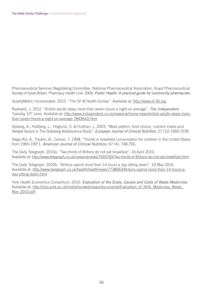Pharmaceutical Services Negotiating Committee, National Pharmaceutical Association, Royal Pharmaceutical Society of Great Britain, Pharmacy Health Link. 2004. Public Health: A practical guide for community pharmacists.

QualityMetric Incorporated. 2012. "The SF-8 Health Survey". Available at: http://www.sf-36.org

Radowitz, J. 2012. "British adults sleep more than seven hours a night on average". The Independent. Tuesday 12<sup>th</sup> June. Available at: http://www.independent.co.uk/news/uk/home-news/british-adults-sleep-morethan-seven-hours-a-night-on-average-7843643.html

Sjoberg, A., Hallberg, L., Hoglund, D. & Hulthen, L. 2003. "Meal pattern, food choice, nutrient intake and lifestyle factors in The Goteberg Adolescence Study". European Journal of Clinical Nutrition, 57 (12) 1569-1578.

Slega-Riz, A., Popkin, B., Carson, T. 1998. "Trends in breakfast consumption for children in the United States from 1965-199"1. American Journal of Clinical Nutrition, 67 (4): 748-756.

The Daily Telegraph. 2010a. "Two thirds of Britons do not eat breakfast". 16 April 2010. Available at: http://www.telegraph.co.uk/news/uknews/7593760/Two-thirds-of-Britons-do-not-eat-breakfast.html

The Daily Telegraph. 2010b. "Britons spend more than 14 hours a day sitting down". 19 May 2010. Available at: http://www.telegraph.co.uk/health/healthnews/7738663/Britons-spend-more-than-14-hours-aday-sitting-down.html

York Health Economics Consortium. 2010. Evaluation of the Scale, Causes and Costs of Waste Medicines. Available at: http://php.york.ac.uk/inst/yhec/web/news/documents/Evaluation\_of\_NHS\_Medicines\_Waste\_ Nov\_2010.pdf